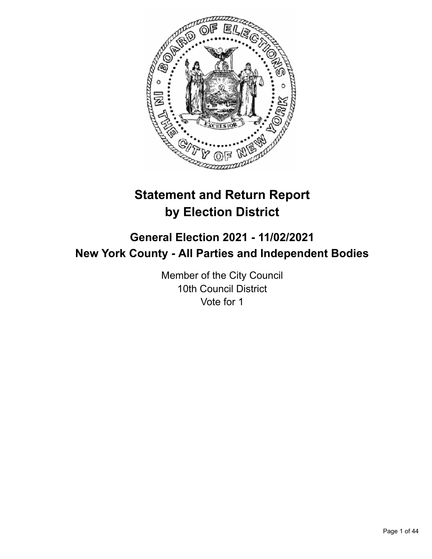

# **Statement and Return Report by Election District**

# **General Election 2021 - 11/02/2021 New York County - All Parties and Independent Bodies**

Member of the City Council 10th Council District Vote for 1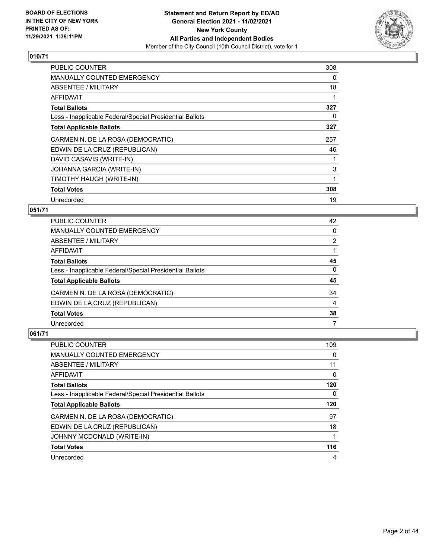

| <b>PUBLIC COUNTER</b>                                    | 308 |
|----------------------------------------------------------|-----|
| <b>MANUALLY COUNTED EMERGENCY</b>                        | 0   |
| ABSENTEE / MILITARY                                      | 18  |
| AFFIDAVIT                                                |     |
| <b>Total Ballots</b>                                     | 327 |
| Less - Inapplicable Federal/Special Presidential Ballots | 0   |
| <b>Total Applicable Ballots</b>                          | 327 |
| CARMEN N. DE LA ROSA (DEMOCRATIC)                        | 257 |
| EDWIN DE LA CRUZ (REPUBLICAN)                            | 46  |
| DAVID CASAVIS (WRITE-IN)                                 |     |
| JOHANNA GARCIA (WRITE-IN)                                | 3   |
| TIMOTHY HAUGH (WRITE-IN)                                 | 1   |
| <b>Total Votes</b>                                       | 308 |
| Unrecorded                                               | 19  |

## **051/71**

| <b>PUBLIC COUNTER</b>                                    | 42       |
|----------------------------------------------------------|----------|
| MANUALLY COUNTED EMERGENCY                               | $\Omega$ |
| ABSENTEE / MILITARY                                      | 2        |
| AFFIDAVIT                                                |          |
| <b>Total Ballots</b>                                     | 45       |
| Less - Inapplicable Federal/Special Presidential Ballots | $\Omega$ |
| <b>Total Applicable Ballots</b>                          | 45       |
| CARMEN N. DE LA ROSA (DEMOCRATIC)                        | 34       |
| EDWIN DE LA CRUZ (REPUBLICAN)                            | 4        |
| <b>Total Votes</b>                                       | 38       |
| Unrecorded                                               | 7        |

| PUBLIC COUNTER                                           | 109 |
|----------------------------------------------------------|-----|
| <b>MANUALLY COUNTED EMERGENCY</b>                        | 0   |
| ABSENTEE / MILITARY                                      | 11  |
| AFFIDAVIT                                                | 0   |
| <b>Total Ballots</b>                                     | 120 |
| Less - Inapplicable Federal/Special Presidential Ballots | 0   |
|                                                          |     |
| <b>Total Applicable Ballots</b>                          | 120 |
| CARMEN N. DE LA ROSA (DEMOCRATIC)                        | 97  |
| EDWIN DE LA CRUZ (REPUBLICAN)                            | 18  |
| JOHNNY MCDONALD (WRITE-IN)                               |     |
| <b>Total Votes</b>                                       | 116 |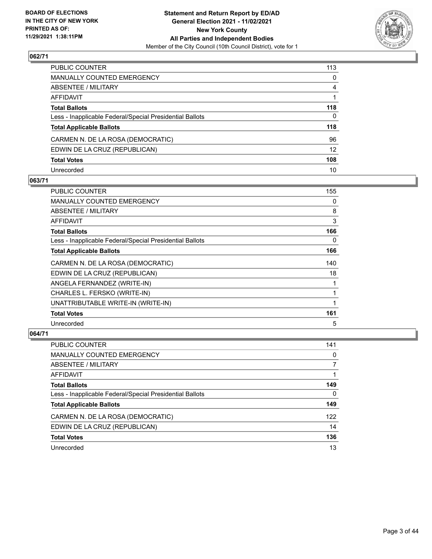

| PUBLIC COUNTER                                           | 113               |
|----------------------------------------------------------|-------------------|
| MANUALLY COUNTED EMERGENCY                               | $\Omega$          |
| ABSENTEE / MILITARY                                      | 4                 |
| AFFIDAVIT                                                |                   |
| <b>Total Ballots</b>                                     | 118               |
| Less - Inapplicable Federal/Special Presidential Ballots | 0                 |
| <b>Total Applicable Ballots</b>                          | 118               |
| CARMEN N. DE LA ROSA (DEMOCRATIC)                        | 96                |
| EDWIN DE LA CRUZ (REPUBLICAN)                            | $12 \overline{ }$ |
| <b>Total Votes</b>                                       | 108               |
| Unrecorded                                               | 10                |

#### **063/71**

| PUBLIC COUNTER                                           | 155 |
|----------------------------------------------------------|-----|
| <b>MANUALLY COUNTED EMERGENCY</b>                        | 0   |
| <b>ABSENTEE / MILITARY</b>                               | 8   |
| <b>AFFIDAVIT</b>                                         | 3   |
| <b>Total Ballots</b>                                     | 166 |
| Less - Inapplicable Federal/Special Presidential Ballots | 0   |
| <b>Total Applicable Ballots</b>                          | 166 |
| CARMEN N. DE LA ROSA (DEMOCRATIC)                        | 140 |
| EDWIN DE LA CRUZ (REPUBLICAN)                            | 18  |
| ANGELA FERNANDEZ (WRITE-IN)                              |     |
| CHARLES L. FERSKO (WRITE-IN)                             |     |
| UNATTRIBUTABLE WRITE-IN (WRITE-IN)                       |     |
| <b>Total Votes</b>                                       | 161 |
| Unrecorded                                               | 5   |

| <b>PUBLIC COUNTER</b>                                    | 141 |
|----------------------------------------------------------|-----|
| MANUALLY COUNTED EMERGENCY                               | 0   |
| ABSENTEE / MILITARY                                      |     |
| AFFIDAVIT                                                |     |
| <b>Total Ballots</b>                                     | 149 |
| Less - Inapplicable Federal/Special Presidential Ballots | 0   |
| <b>Total Applicable Ballots</b>                          | 149 |
| CARMEN N. DE LA ROSA (DEMOCRATIC)                        | 122 |
| EDWIN DE LA CRUZ (REPUBLICAN)                            | 14  |
| <b>Total Votes</b>                                       | 136 |
| Unrecorded                                               | 13  |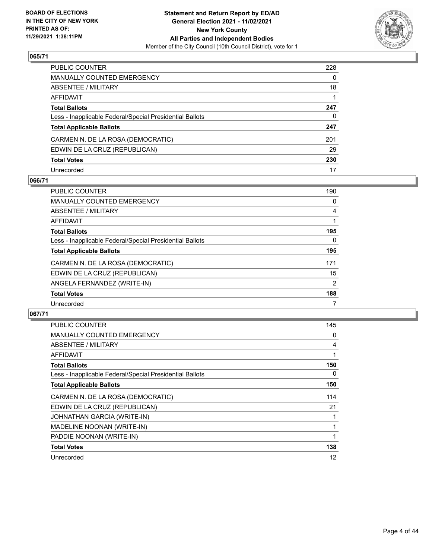

| PUBLIC COUNTER                                           | 228 |
|----------------------------------------------------------|-----|
| MANUALLY COUNTED EMERGENCY                               | 0   |
| ABSENTEE / MILITARY                                      | 18  |
| AFFIDAVIT                                                |     |
| Total Ballots                                            | 247 |
| Less - Inapplicable Federal/Special Presidential Ballots | 0   |
| <b>Total Applicable Ballots</b>                          | 247 |
| CARMEN N. DE LA ROSA (DEMOCRATIC)                        | 201 |
| EDWIN DE LA CRUZ (REPUBLICAN)                            | 29  |
| <b>Total Votes</b>                                       | 230 |
| Unrecorded                                               | 17  |

## **066/71**

| <b>PUBLIC COUNTER</b>                                    | 190 |
|----------------------------------------------------------|-----|
| <b>MANUALLY COUNTED EMERGENCY</b>                        | 0   |
| ABSENTEE / MILITARY                                      | 4   |
| <b>AFFIDAVIT</b>                                         |     |
| <b>Total Ballots</b>                                     | 195 |
| Less - Inapplicable Federal/Special Presidential Ballots | 0   |
| <b>Total Applicable Ballots</b>                          | 195 |
| CARMEN N. DE LA ROSA (DEMOCRATIC)                        | 171 |
| EDWIN DE LA CRUZ (REPUBLICAN)                            | 15  |
| ANGELA FERNANDEZ (WRITE-IN)                              | 2   |
| <b>Total Votes</b>                                       | 188 |
| Unrecorded                                               |     |

| <b>PUBLIC COUNTER</b>                                    | 145 |
|----------------------------------------------------------|-----|
| <b>MANUALLY COUNTED EMERGENCY</b>                        | 0   |
| ABSENTEE / MILITARY                                      | 4   |
| AFFIDAVIT                                                |     |
| <b>Total Ballots</b>                                     | 150 |
| Less - Inapplicable Federal/Special Presidential Ballots | 0   |
| <b>Total Applicable Ballots</b>                          | 150 |
| CARMEN N. DE LA ROSA (DEMOCRATIC)                        | 114 |
| EDWIN DE LA CRUZ (REPUBLICAN)                            | 21  |
| JOHNATHAN GARCIA (WRITE-IN)                              |     |
| MADELINE NOONAN (WRITE-IN)                               |     |
| PADDIE NOONAN (WRITE-IN)                                 |     |
| <b>Total Votes</b>                                       | 138 |
| Unrecorded                                               | 12  |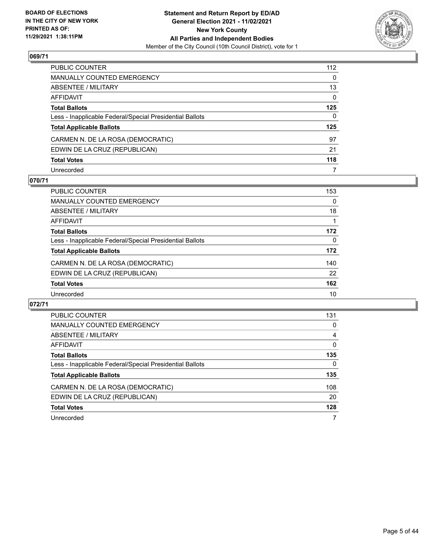

| PUBLIC COUNTER                                           | 112 |
|----------------------------------------------------------|-----|
| MANUALLY COUNTED EMERGENCY                               | 0   |
| ABSENTEE / MILITARY                                      | 13  |
| AFFIDAVIT                                                | 0   |
| Total Ballots                                            | 125 |
| Less - Inapplicable Federal/Special Presidential Ballots | 0   |
| <b>Total Applicable Ballots</b>                          | 125 |
| CARMEN N. DE LA ROSA (DEMOCRATIC)                        | 97  |
| EDWIN DE LA CRUZ (REPUBLICAN)                            | 21  |
| <b>Total Votes</b>                                       | 118 |
| Unrecorded                                               | 7   |

## **070/71**

| <b>PUBLIC COUNTER</b>                                    | 153      |
|----------------------------------------------------------|----------|
| MANUALLY COUNTED EMERGENCY                               | 0        |
| ABSENTEE / MILITARY                                      | 18       |
| AFFIDAVIT                                                |          |
| <b>Total Ballots</b>                                     | 172      |
| Less - Inapplicable Federal/Special Presidential Ballots | $\Omega$ |
| <b>Total Applicable Ballots</b>                          | 172      |
| CARMEN N. DE LA ROSA (DEMOCRATIC)                        | 140      |
| EDWIN DE LA CRUZ (REPUBLICAN)                            | 22       |
| <b>Total Votes</b>                                       | 162      |
| Unrecorded                                               | 10       |

| PUBLIC COUNTER                                           | 131      |
|----------------------------------------------------------|----------|
| <b>MANUALLY COUNTED EMERGENCY</b>                        | 0        |
| ABSENTEE / MILITARY                                      | 4        |
| AFFIDAVIT                                                | $\Omega$ |
| <b>Total Ballots</b>                                     | 135      |
| Less - Inapplicable Federal/Special Presidential Ballots | 0        |
| <b>Total Applicable Ballots</b>                          | 135      |
| CARMEN N. DE LA ROSA (DEMOCRATIC)                        | 108      |
| EDWIN DE LA CRUZ (REPUBLICAN)                            | 20       |
| <b>Total Votes</b>                                       | 128      |
| Unrecorded                                               | 7        |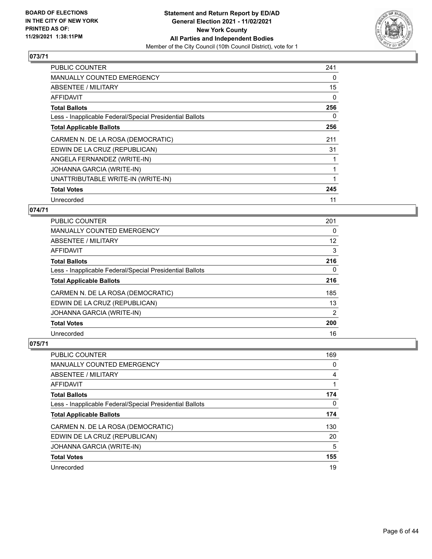

| <b>PUBLIC COUNTER</b>                                    | 241 |
|----------------------------------------------------------|-----|
| MANUALLY COUNTED EMERGENCY                               | 0   |
| ABSENTEE / MILITARY                                      | 15  |
| AFFIDAVIT                                                | 0   |
| <b>Total Ballots</b>                                     | 256 |
| Less - Inapplicable Federal/Special Presidential Ballots | 0   |
| <b>Total Applicable Ballots</b>                          | 256 |
| CARMEN N. DE LA ROSA (DEMOCRATIC)                        | 211 |
| EDWIN DE LA CRUZ (REPUBLICAN)                            | 31  |
| ANGELA FERNANDEZ (WRITE-IN)                              |     |
| JOHANNA GARCIA (WRITE-IN)                                |     |
| UNATTRIBUTABLE WRITE-IN (WRITE-IN)                       |     |
| <b>Total Votes</b>                                       | 245 |
| Unrecorded                                               | 11  |

## **074/71**

| PUBLIC COUNTER                                           | 201            |
|----------------------------------------------------------|----------------|
| MANUALLY COUNTED EMERGENCY                               | 0              |
| ABSENTEE / MILITARY                                      | 12             |
| AFFIDAVIT                                                | 3              |
| <b>Total Ballots</b>                                     | 216            |
| Less - Inapplicable Federal/Special Presidential Ballots | 0              |
| <b>Total Applicable Ballots</b>                          | 216            |
| CARMEN N. DE LA ROSA (DEMOCRATIC)                        | 185            |
| EDWIN DE LA CRUZ (REPUBLICAN)                            | 13             |
| JOHANNA GARCIA (WRITE-IN)                                | $\overline{2}$ |
| <b>Total Votes</b>                                       | 200            |
| Unrecorded                                               | 16             |

| <b>PUBLIC COUNTER</b>                                    | 169 |
|----------------------------------------------------------|-----|
| <b>MANUALLY COUNTED EMERGENCY</b>                        | 0   |
| ABSENTEE / MILITARY                                      | 4   |
| AFFIDAVIT                                                |     |
| <b>Total Ballots</b>                                     | 174 |
| Less - Inapplicable Federal/Special Presidential Ballots | 0   |
| <b>Total Applicable Ballots</b>                          | 174 |
| CARMEN N. DE LA ROSA (DEMOCRATIC)                        | 130 |
| EDWIN DE LA CRUZ (REPUBLICAN)                            | 20  |
| JOHANNA GARCIA (WRITE-IN)                                | 5   |
| <b>Total Votes</b>                                       | 155 |
| Unrecorded                                               | 19  |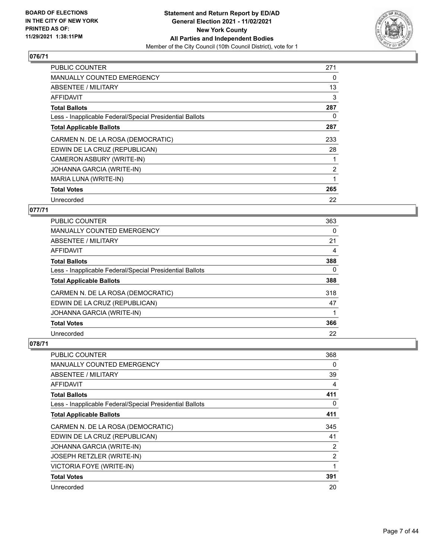

| <b>PUBLIC COUNTER</b>                                    | 271            |
|----------------------------------------------------------|----------------|
| MANUALLY COUNTED EMERGENCY                               | 0              |
| ABSENTEE / MILITARY                                      | 13             |
| AFFIDAVIT                                                | 3              |
| <b>Total Ballots</b>                                     | 287            |
| Less - Inapplicable Federal/Special Presidential Ballots | 0              |
| <b>Total Applicable Ballots</b>                          | 287            |
| CARMEN N. DE LA ROSA (DEMOCRATIC)                        | 233            |
| EDWIN DE LA CRUZ (REPUBLICAN)                            | 28             |
| CAMERON ASBURY (WRITE-IN)                                |                |
| JOHANNA GARCIA (WRITE-IN)                                | $\overline{2}$ |
| MARIA LUNA (WRITE-IN)                                    |                |
| <b>Total Votes</b>                                       | 265            |
| Unrecorded                                               | 22             |

## **077/71**

| <b>PUBLIC COUNTER</b>                                    | 363      |
|----------------------------------------------------------|----------|
| MANUALLY COUNTED EMERGENCY                               | 0        |
| <b>ABSENTEE / MILITARY</b>                               | 21       |
| AFFIDAVIT                                                | 4        |
| <b>Total Ballots</b>                                     | 388      |
| Less - Inapplicable Federal/Special Presidential Ballots | $\Omega$ |
| <b>Total Applicable Ballots</b>                          | 388      |
| CARMEN N. DE LA ROSA (DEMOCRATIC)                        | 318      |
| EDWIN DE LA CRUZ (REPUBLICAN)                            | 47       |
| JOHANNA GARCIA (WRITE-IN)                                |          |
| <b>Total Votes</b>                                       | 366      |
| Unrecorded                                               | 22       |

| PUBLIC COUNTER                                           | 368 |
|----------------------------------------------------------|-----|
| <b>MANUALLY COUNTED EMERGENCY</b>                        | 0   |
| ABSENTEE / MILITARY                                      | 39  |
| AFFIDAVIT                                                | 4   |
| <b>Total Ballots</b>                                     | 411 |
| Less - Inapplicable Federal/Special Presidential Ballots | 0   |
| <b>Total Applicable Ballots</b>                          | 411 |
| CARMEN N. DE LA ROSA (DEMOCRATIC)                        | 345 |
| EDWIN DE LA CRUZ (REPUBLICAN)                            | 41  |
| JOHANNA GARCIA (WRITE-IN)                                | 2   |
| JOSEPH RETZLER (WRITE-IN)                                | 2   |
| VICTORIA FOYE (WRITE-IN)                                 | 1   |
| <b>Total Votes</b>                                       | 391 |
| Unrecorded                                               | 20  |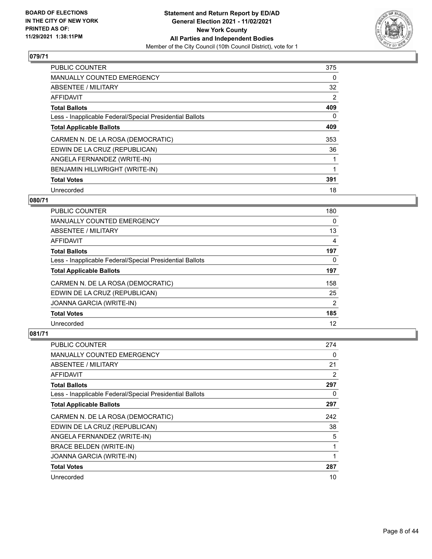

| <b>PUBLIC COUNTER</b>                                    | 375            |
|----------------------------------------------------------|----------------|
| <b>MANUALLY COUNTED EMERGENCY</b>                        | 0              |
| ABSENTEE / MILITARY                                      | 32             |
| <b>AFFIDAVIT</b>                                         | $\overline{2}$ |
| <b>Total Ballots</b>                                     | 409            |
| Less - Inapplicable Federal/Special Presidential Ballots | 0              |
| <b>Total Applicable Ballots</b>                          | 409            |
| CARMEN N. DE LA ROSA (DEMOCRATIC)                        | 353            |
| EDWIN DE LA CRUZ (REPUBLICAN)                            | 36             |
| ANGELA FERNANDEZ (WRITE-IN)                              |                |
| BENJAMIN HILLWRIGHT (WRITE-IN)                           |                |
| <b>Total Votes</b>                                       | 391            |
| Unrecorded                                               | 18             |

## **080/71**

| <b>PUBLIC COUNTER</b>                                    | 180            |
|----------------------------------------------------------|----------------|
| <b>MANUALLY COUNTED EMERGENCY</b>                        | 0              |
| ABSENTEE / MILITARY                                      | 13             |
| AFFIDAVIT                                                | 4              |
| <b>Total Ballots</b>                                     | 197            |
| Less - Inapplicable Federal/Special Presidential Ballots | 0              |
| <b>Total Applicable Ballots</b>                          | 197            |
| CARMEN N. DE LA ROSA (DEMOCRATIC)                        | 158            |
| EDWIN DE LA CRUZ (REPUBLICAN)                            | 25             |
| JOANNA GARCIA (WRITE-IN)                                 | $\overline{2}$ |
| <b>Total Votes</b>                                       | 185            |
| Unrecorded                                               | 12             |

| PUBLIC COUNTER                                           | 274 |
|----------------------------------------------------------|-----|
| <b>MANUALLY COUNTED EMERGENCY</b>                        | 0   |
| ABSENTEE / MILITARY                                      | 21  |
| AFFIDAVIT                                                | 2   |
| <b>Total Ballots</b>                                     | 297 |
| Less - Inapplicable Federal/Special Presidential Ballots | 0   |
| <b>Total Applicable Ballots</b>                          | 297 |
| CARMEN N. DE LA ROSA (DEMOCRATIC)                        | 242 |
| EDWIN DE LA CRUZ (REPUBLICAN)                            | 38  |
| ANGELA FERNANDEZ (WRITE-IN)                              | 5   |
| <b>BRACE BELDEN (WRITE-IN)</b>                           | 1   |
| JOANNA GARCIA (WRITE-IN)                                 | 1   |
| <b>Total Votes</b>                                       | 287 |
| Unrecorded                                               | 10  |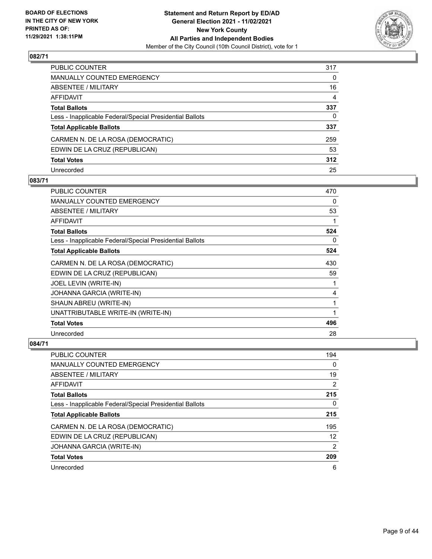

| PUBLIC COUNTER                                           | 317      |
|----------------------------------------------------------|----------|
| MANUALLY COUNTED EMERGENCY                               | 0        |
| ABSENTEE / MILITARY                                      | 16       |
| AFFIDAVIT                                                | 4        |
| Total Ballots                                            | 337      |
| Less - Inapplicable Federal/Special Presidential Ballots | $\Omega$ |
| <b>Total Applicable Ballots</b>                          | 337      |
| CARMEN N. DE LA ROSA (DEMOCRATIC)                        | 259      |
| EDWIN DE LA CRUZ (REPUBLICAN)                            | 53       |
| <b>Total Votes</b>                                       | 312      |
| Unrecorded                                               | 25       |

## **083/71**

| <b>PUBLIC COUNTER</b>                                    | 470          |
|----------------------------------------------------------|--------------|
| <b>MANUALLY COUNTED EMERGENCY</b>                        | 0            |
| ABSENTEE / MILITARY                                      | 53           |
| AFFIDAVIT                                                | 1            |
| <b>Total Ballots</b>                                     | 524          |
| Less - Inapplicable Federal/Special Presidential Ballots | 0            |
| <b>Total Applicable Ballots</b>                          | 524          |
| CARMEN N. DE LA ROSA (DEMOCRATIC)                        | 430          |
| EDWIN DE LA CRUZ (REPUBLICAN)                            | 59           |
| JOEL LEVIN (WRITE-IN)                                    | 1            |
| JOHANNA GARCIA (WRITE-IN)                                | 4            |
| SHAUN ABREU (WRITE-IN)                                   | $\mathbf{1}$ |
| UNATTRIBUTABLE WRITE-IN (WRITE-IN)                       | 1            |
| <b>Total Votes</b>                                       | 496          |
| Unrecorded                                               | 28           |

| <b>PUBLIC COUNTER</b>                                    | 194            |
|----------------------------------------------------------|----------------|
| <b>MANUALLY COUNTED EMERGENCY</b>                        | 0              |
| ABSENTEE / MILITARY                                      | 19             |
| AFFIDAVIT                                                | $\overline{2}$ |
| <b>Total Ballots</b>                                     | 215            |
| Less - Inapplicable Federal/Special Presidential Ballots | 0              |
| <b>Total Applicable Ballots</b>                          | 215            |
| CARMEN N. DE LA ROSA (DEMOCRATIC)                        | 195            |
| EDWIN DE LA CRUZ (REPUBLICAN)                            | 12             |
| JOHANNA GARCIA (WRITE-IN)                                | 2              |
| <b>Total Votes</b>                                       | 209            |
| Unrecorded                                               | 6              |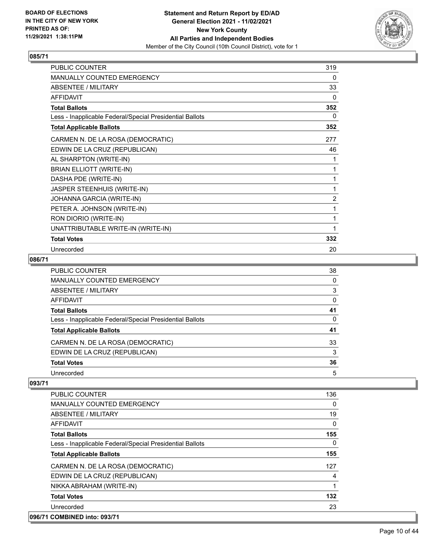

| PUBLIC COUNTER                                           | 319      |
|----------------------------------------------------------|----------|
| MANUALLY COUNTED EMERGENCY                               | 0        |
| <b>ABSENTEE / MILITARY</b>                               | 33       |
| <b>AFFIDAVIT</b>                                         | $\Omega$ |
| <b>Total Ballots</b>                                     | 352      |
| Less - Inapplicable Federal/Special Presidential Ballots | 0        |
| <b>Total Applicable Ballots</b>                          | 352      |
| CARMEN N. DE LA ROSA (DEMOCRATIC)                        | 277      |
| EDWIN DE LA CRUZ (REPUBLICAN)                            | 46       |
| AL SHARPTON (WRITE-IN)                                   | 1        |
| <b>BRIAN ELLIOTT (WRITE-IN)</b>                          | 1        |
| DASHA PDE (WRITE-IN)                                     | 1        |
| JASPER STEENHUIS (WRITE-IN)                              | 1        |
| JOHANNA GARCIA (WRITE-IN)                                | 2        |
| PETER A. JOHNSON (WRITE-IN)                              | 1        |
| RON DIORIO (WRITE-IN)                                    | 1        |
| UNATTRIBUTABLE WRITE-IN (WRITE-IN)                       | 1        |
| <b>Total Votes</b>                                       | 332      |
| Unrecorded                                               | 20       |

#### **086/71**

| PUBLIC COUNTER                                           | 38           |
|----------------------------------------------------------|--------------|
| <b>MANUALLY COUNTED EMERGENCY</b>                        | $\Omega$     |
| <b>ABSENTEE / MILITARY</b>                               | 3            |
| AFFIDAVIT                                                | 0            |
| <b>Total Ballots</b>                                     | 41           |
| Less - Inapplicable Federal/Special Presidential Ballots | $\mathbf{0}$ |
| <b>Total Applicable Ballots</b>                          | 41           |
| CARMEN N. DE LA ROSA (DEMOCRATIC)                        | 33           |
| EDWIN DE LA CRUZ (REPUBLICAN)                            | 3            |
| <b>Total Votes</b>                                       | 36           |
| Unrecorded                                               | 5            |

| PUBLIC COUNTER                                           | 136      |
|----------------------------------------------------------|----------|
| <b>MANUALLY COUNTED EMERGENCY</b>                        | $\Omega$ |
| ABSENTEE / MILITARY                                      | 19       |
| AFFIDAVIT                                                | 0        |
| <b>Total Ballots</b>                                     | 155      |
| Less - Inapplicable Federal/Special Presidential Ballots | $\Omega$ |
| <b>Total Applicable Ballots</b>                          | 155      |
| CARMEN N. DE LA ROSA (DEMOCRATIC)                        | 127      |
| EDWIN DE LA CRUZ (REPUBLICAN)                            | 4        |
| NIKKA ABRAHAM (WRITE-IN)                                 |          |
| <b>Total Votes</b>                                       | 132      |
| Unrecorded                                               | 23       |
| 096/71 COMBINED into: 093/71                             |          |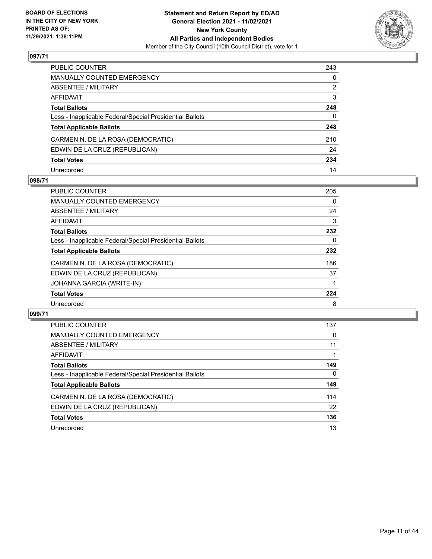

| PUBLIC COUNTER                                           | 243      |
|----------------------------------------------------------|----------|
| MANUALLY COUNTED EMERGENCY                               | 0        |
| ABSENTEE / MILITARY                                      | 2        |
| AFFIDAVIT                                                | 3        |
| Total Ballots                                            | 248      |
| Less - Inapplicable Federal/Special Presidential Ballots | $\Omega$ |
| <b>Total Applicable Ballots</b>                          | 248      |
| CARMEN N. DE LA ROSA (DEMOCRATIC)                        | 210      |
| EDWIN DE LA CRUZ (REPUBLICAN)                            | 24       |
| <b>Total Votes</b>                                       | 234      |
| Unrecorded                                               | 14       |

#### **098/71**

| <b>PUBLIC COUNTER</b>                                    | 205 |
|----------------------------------------------------------|-----|
| <b>MANUALLY COUNTED EMERGENCY</b>                        | 0   |
| ABSENTEE / MILITARY                                      | 24  |
| AFFIDAVIT                                                | 3   |
| <b>Total Ballots</b>                                     | 232 |
| Less - Inapplicable Federal/Special Presidential Ballots | 0   |
| <b>Total Applicable Ballots</b>                          | 232 |
| CARMEN N. DE LA ROSA (DEMOCRATIC)                        | 186 |
| EDWIN DE LA CRUZ (REPUBLICAN)                            | 37  |
| JOHANNA GARCIA (WRITE-IN)                                |     |
| <b>Total Votes</b>                                       | 224 |
| Unrecorded                                               | 8   |

| <b>PUBLIC COUNTER</b>                                    | 137      |
|----------------------------------------------------------|----------|
| <b>MANUALLY COUNTED EMERGENCY</b>                        | $\Omega$ |
| ABSENTEE / MILITARY                                      | 11       |
| AFFIDAVIT                                                |          |
| <b>Total Ballots</b>                                     | 149      |
| Less - Inapplicable Federal/Special Presidential Ballots | $\Omega$ |
| <b>Total Applicable Ballots</b>                          | 149      |
| CARMEN N. DE LA ROSA (DEMOCRATIC)                        | 114      |
| EDWIN DE LA CRUZ (REPUBLICAN)                            | 22       |
| <b>Total Votes</b>                                       | 136      |
| Unrecorded                                               | 13       |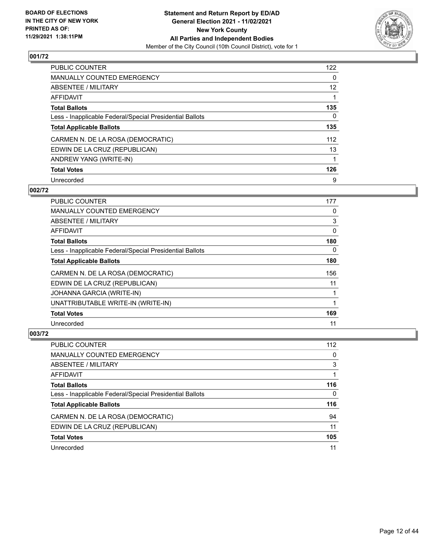

| PUBLIC COUNTER                                           | 122      |
|----------------------------------------------------------|----------|
| MANUALLY COUNTED EMERGENCY                               | 0        |
| ABSENTEE / MILITARY                                      | 12       |
| AFFIDAVIT                                                |          |
| <b>Total Ballots</b>                                     | 135      |
| Less - Inapplicable Federal/Special Presidential Ballots | $\Omega$ |
| <b>Total Applicable Ballots</b>                          | 135      |
| CARMEN N. DE LA ROSA (DEMOCRATIC)                        | 112      |
| EDWIN DE LA CRUZ (REPUBLICAN)                            | 13       |
| ANDREW YANG (WRITE-IN)                                   |          |
| <b>Total Votes</b>                                       | 126      |
| Unrecorded                                               | 9        |

#### **002/72**

| <b>PUBLIC COUNTER</b>                                    | 177      |
|----------------------------------------------------------|----------|
| <b>MANUALLY COUNTED EMERGENCY</b>                        | 0        |
| ABSENTEE / MILITARY                                      | 3        |
| <b>AFFIDAVIT</b>                                         | 0        |
| <b>Total Ballots</b>                                     | 180      |
| Less - Inapplicable Federal/Special Presidential Ballots | $\Omega$ |
| <b>Total Applicable Ballots</b>                          | 180      |
| CARMEN N. DE LA ROSA (DEMOCRATIC)                        | 156      |
| EDWIN DE LA CRUZ (REPUBLICAN)                            | 11       |
| JOHANNA GARCIA (WRITE-IN)                                |          |
| UNATTRIBUTABLE WRITE-IN (WRITE-IN)                       |          |
| <b>Total Votes</b>                                       | 169      |
| Unrecorded                                               | 11       |

| PUBLIC COUNTER                                           | 112      |
|----------------------------------------------------------|----------|
| <b>MANUALLY COUNTED EMERGENCY</b>                        | $\Omega$ |
| ABSENTEE / MILITARY                                      | 3        |
| AFFIDAVIT                                                |          |
| <b>Total Ballots</b>                                     | 116      |
| Less - Inapplicable Federal/Special Presidential Ballots | 0        |
| <b>Total Applicable Ballots</b>                          | 116      |
| CARMEN N. DE LA ROSA (DEMOCRATIC)                        | 94       |
| EDWIN DE LA CRUZ (REPUBLICAN)                            | 11       |
| <b>Total Votes</b>                                       | 105      |
| Unrecorded                                               | 11       |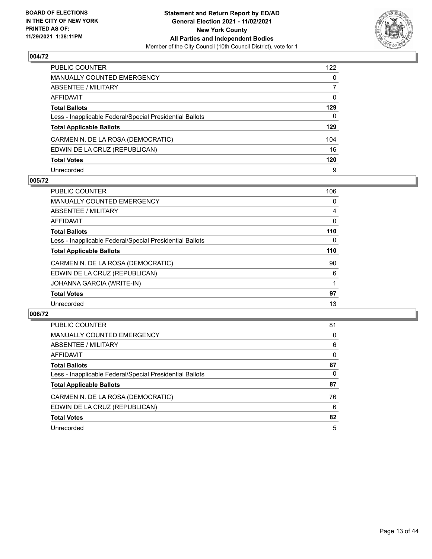

| PUBLIC COUNTER                                           | 122          |
|----------------------------------------------------------|--------------|
| MANUALLY COUNTED EMERGENCY                               | $\mathbf{0}$ |
| ABSENTEE / MILITARY                                      | 7            |
| AFFIDAVIT                                                | 0            |
| <b>Total Ballots</b>                                     | 129          |
| Less - Inapplicable Federal/Special Presidential Ballots | $\mathbf{0}$ |
| <b>Total Applicable Ballots</b>                          | 129          |
| CARMEN N. DE LA ROSA (DEMOCRATIC)                        | 104          |
| EDWIN DE LA CRUZ (REPUBLICAN)                            | 16           |
| <b>Total Votes</b>                                       | 120          |
| Unrecorded                                               | 9            |

#### **005/72**

| <b>PUBLIC COUNTER</b>                                    | 106 |
|----------------------------------------------------------|-----|
| <b>MANUALLY COUNTED EMERGENCY</b>                        | 0   |
| ABSENTEE / MILITARY                                      | 4   |
| <b>AFFIDAVIT</b>                                         | 0   |
| <b>Total Ballots</b>                                     | 110 |
| Less - Inapplicable Federal/Special Presidential Ballots | 0   |
| <b>Total Applicable Ballots</b>                          | 110 |
| CARMEN N. DE LA ROSA (DEMOCRATIC)                        | 90  |
| EDWIN DE LA CRUZ (REPUBLICAN)                            | 6   |
| JOHANNA GARCIA (WRITE-IN)                                |     |
| <b>Total Votes</b>                                       | 97  |
| Unrecorded                                               | 13  |

| PUBLIC COUNTER                                           | 81       |
|----------------------------------------------------------|----------|
| <b>MANUALLY COUNTED EMERGENCY</b>                        | 0        |
| ABSENTEE / MILITARY                                      | 6        |
| AFFIDAVIT                                                | $\Omega$ |
| <b>Total Ballots</b>                                     | 87       |
| Less - Inapplicable Federal/Special Presidential Ballots | $\Omega$ |
| <b>Total Applicable Ballots</b>                          | 87       |
| CARMEN N. DE LA ROSA (DEMOCRATIC)                        | 76       |
| EDWIN DE LA CRUZ (REPUBLICAN)                            | 6        |
| <b>Total Votes</b>                                       | 82       |
| Unrecorded                                               | 5        |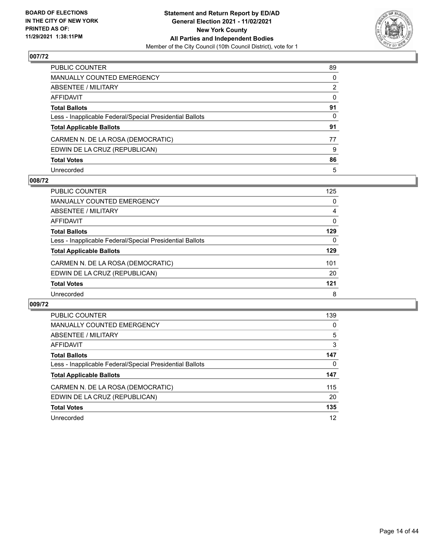

| PUBLIC COUNTER                                           | 89           |
|----------------------------------------------------------|--------------|
| MANUALLY COUNTED EMERGENCY                               | 0            |
| ABSENTEE / MILITARY                                      | 2            |
| AFFIDAVIT                                                | $\mathbf{0}$ |
| Total Ballots                                            | 91           |
| Less - Inapplicable Federal/Special Presidential Ballots | 0            |
| <b>Total Applicable Ballots</b>                          | 91           |
| CARMEN N. DE LA ROSA (DEMOCRATIC)                        | 77           |
| EDWIN DE LA CRUZ (REPUBLICAN)                            | 9            |
| <b>Total Votes</b>                                       | 86           |
| Unrecorded                                               | 5            |

#### **008/72**

| <b>PUBLIC COUNTER</b>                                    | 125 |
|----------------------------------------------------------|-----|
| MANUALLY COUNTED EMERGENCY                               | 0   |
| ABSENTEE / MILITARY                                      | 4   |
| AFFIDAVIT                                                | 0   |
| <b>Total Ballots</b>                                     | 129 |
| Less - Inapplicable Federal/Special Presidential Ballots | 0   |
| <b>Total Applicable Ballots</b>                          | 129 |
| CARMEN N. DE LA ROSA (DEMOCRATIC)                        | 101 |
| EDWIN DE LA CRUZ (REPUBLICAN)                            | 20  |
| <b>Total Votes</b>                                       | 121 |
| Unrecorded                                               | 8   |

| <b>PUBLIC COUNTER</b>                                    | 139 |
|----------------------------------------------------------|-----|
| <b>MANUALLY COUNTED EMERGENCY</b>                        | 0   |
| ABSENTEE / MILITARY                                      | 5   |
| AFFIDAVIT                                                | 3   |
| <b>Total Ballots</b>                                     | 147 |
| Less - Inapplicable Federal/Special Presidential Ballots | 0   |
| <b>Total Applicable Ballots</b>                          | 147 |
| CARMEN N. DE LA ROSA (DEMOCRATIC)                        | 115 |
| EDWIN DE LA CRUZ (REPUBLICAN)                            | 20  |
| <b>Total Votes</b>                                       | 135 |
| Unrecorded                                               | 12  |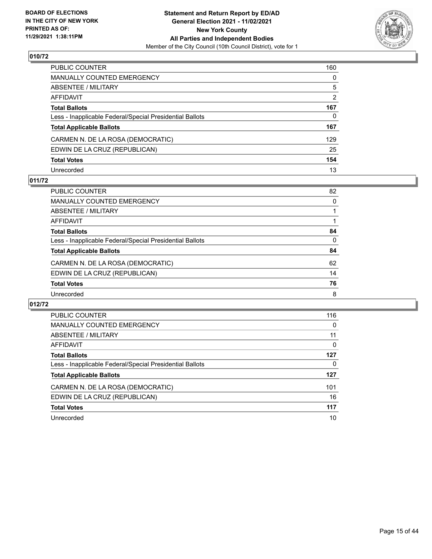

| PUBLIC COUNTER                                           | 160            |
|----------------------------------------------------------|----------------|
| MANUALLY COUNTED EMERGENCY                               | 0              |
| ABSENTEE / MILITARY                                      | 5              |
| AFFIDAVIT                                                | $\overline{2}$ |
| Total Ballots                                            | 167            |
| Less - Inapplicable Federal/Special Presidential Ballots | $\Omega$       |
| <b>Total Applicable Ballots</b>                          | 167            |
| CARMEN N. DE LA ROSA (DEMOCRATIC)                        | 129            |
| EDWIN DE LA CRUZ (REPUBLICAN)                            | 25             |
| <b>Total Votes</b>                                       | 154            |
| Unrecorded                                               | 13             |

## **011/72**

| <b>PUBLIC COUNTER</b>                                    | 82       |
|----------------------------------------------------------|----------|
| MANUALLY COUNTED EMERGENCY                               | $\Omega$ |
| ABSENTEE / MILITARY                                      |          |
| AFFIDAVIT                                                |          |
| <b>Total Ballots</b>                                     | 84       |
| Less - Inapplicable Federal/Special Presidential Ballots | $\Omega$ |
| <b>Total Applicable Ballots</b>                          | 84       |
| CARMEN N. DE LA ROSA (DEMOCRATIC)                        | 62       |
| EDWIN DE LA CRUZ (REPUBLICAN)                            | 14       |
| <b>Total Votes</b>                                       | 76       |
| Unrecorded                                               | 8        |

| PUBLIC COUNTER                                           | 116 |
|----------------------------------------------------------|-----|
| <b>MANUALLY COUNTED EMERGENCY</b>                        | 0   |
| ABSENTEE / MILITARY                                      | 11  |
| AFFIDAVIT                                                | 0   |
| <b>Total Ballots</b>                                     | 127 |
| Less - Inapplicable Federal/Special Presidential Ballots | 0   |
| <b>Total Applicable Ballots</b>                          | 127 |
| CARMEN N. DE LA ROSA (DEMOCRATIC)                        | 101 |
| EDWIN DE LA CRUZ (REPUBLICAN)                            | 16  |
| <b>Total Votes</b>                                       | 117 |
| Unrecorded                                               | 10  |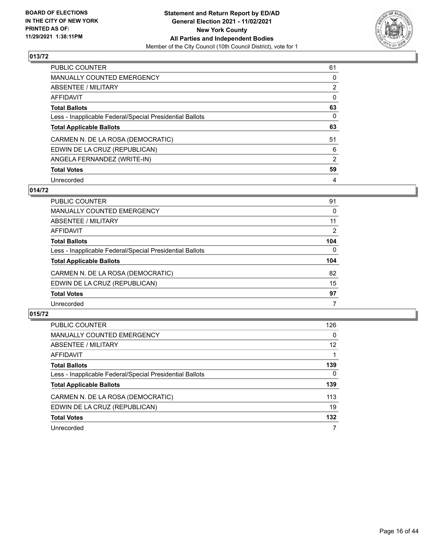

| <b>PUBLIC COUNTER</b>                                    | 61             |
|----------------------------------------------------------|----------------|
| MANUALLY COUNTED EMERGENCY                               | 0              |
| ABSENTEE / MILITARY                                      | $\overline{2}$ |
| AFFIDAVIT                                                | $\Omega$       |
| <b>Total Ballots</b>                                     | 63             |
| Less - Inapplicable Federal/Special Presidential Ballots | 0              |
| <b>Total Applicable Ballots</b>                          | 63             |
| CARMEN N. DE LA ROSA (DEMOCRATIC)                        | 51             |
| EDWIN DE LA CRUZ (REPUBLICAN)                            | 6              |
| ANGELA FERNANDEZ (WRITE-IN)                              | 2              |
| <b>Total Votes</b>                                       | 59             |
| Unrecorded                                               | 4              |

### **014/72**

| <b>PUBLIC COUNTER</b>                                    | 91             |
|----------------------------------------------------------|----------------|
| <b>MANUALLY COUNTED EMERGENCY</b>                        | $\Omega$       |
| ABSENTEE / MILITARY                                      | 11             |
| AFFIDAVIT                                                | $\overline{2}$ |
| <b>Total Ballots</b>                                     | 104            |
| Less - Inapplicable Federal/Special Presidential Ballots | $\Omega$       |
| <b>Total Applicable Ballots</b>                          | 104            |
| CARMEN N. DE LA ROSA (DEMOCRATIC)                        | 82             |
| EDWIN DE LA CRUZ (REPUBLICAN)                            | 15             |
| <b>Total Votes</b>                                       | 97             |
| Unrecorded                                               | 7              |

| <b>PUBLIC COUNTER</b>                                    | 126               |
|----------------------------------------------------------|-------------------|
| <b>MANUALLY COUNTED EMERGENCY</b>                        | $\Omega$          |
| ABSENTEE / MILITARY                                      | $12 \overline{ }$ |
| AFFIDAVIT                                                |                   |
| <b>Total Ballots</b>                                     | 139               |
| Less - Inapplicable Federal/Special Presidential Ballots | $\mathbf{0}$      |
| <b>Total Applicable Ballots</b>                          | 139               |
| CARMEN N. DE LA ROSA (DEMOCRATIC)                        | 113               |
| EDWIN DE LA CRUZ (REPUBLICAN)                            | 19                |
| <b>Total Votes</b>                                       | 132               |
| Unrecorded                                               |                   |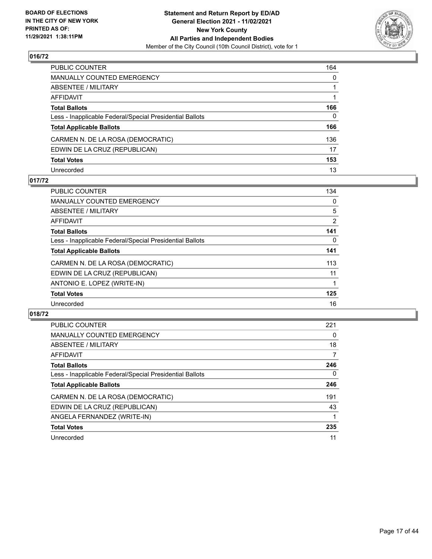

| PUBLIC COUNTER                                           | 164      |
|----------------------------------------------------------|----------|
| MANUALLY COUNTED EMERGENCY                               | 0        |
| ABSENTEE / MILITARY                                      |          |
| AFFIDAVIT                                                |          |
| Total Ballots                                            | 166      |
| Less - Inapplicable Federal/Special Presidential Ballots | $\Omega$ |
| <b>Total Applicable Ballots</b>                          | 166      |
| CARMEN N. DE LA ROSA (DEMOCRATIC)                        | 136      |
| EDWIN DE LA CRUZ (REPUBLICAN)                            | 17       |
| <b>Total Votes</b>                                       | 153      |
| Unrecorded                                               | 13       |

## **017/72**

| <b>PUBLIC COUNTER</b>                                    | 134 |
|----------------------------------------------------------|-----|
| <b>MANUALLY COUNTED EMERGENCY</b>                        | 0   |
| ABSENTEE / MILITARY                                      | 5   |
| <b>AFFIDAVIT</b>                                         | 2   |
| <b>Total Ballots</b>                                     | 141 |
| Less - Inapplicable Federal/Special Presidential Ballots | 0   |
| <b>Total Applicable Ballots</b>                          | 141 |
| CARMEN N. DE LA ROSA (DEMOCRATIC)                        | 113 |
| EDWIN DE LA CRUZ (REPUBLICAN)                            | 11  |
| ANTONIO E. LOPEZ (WRITE-IN)                              |     |
| <b>Total Votes</b>                                       | 125 |
| Unrecorded                                               | 16  |

| <b>PUBLIC COUNTER</b>                                    | 221      |
|----------------------------------------------------------|----------|
| <b>MANUALLY COUNTED EMERGENCY</b>                        | 0        |
| ABSENTEE / MILITARY                                      | 18       |
| <b>AFFIDAVIT</b>                                         | 7        |
| <b>Total Ballots</b>                                     | 246      |
| Less - Inapplicable Federal/Special Presidential Ballots | $\Omega$ |
| <b>Total Applicable Ballots</b>                          | 246      |
| CARMEN N. DE LA ROSA (DEMOCRATIC)                        | 191      |
| EDWIN DE LA CRUZ (REPUBLICAN)                            | 43       |
| ANGELA FERNANDEZ (WRITE-IN)                              |          |
| <b>Total Votes</b>                                       | 235      |
| Unrecorded                                               | 11       |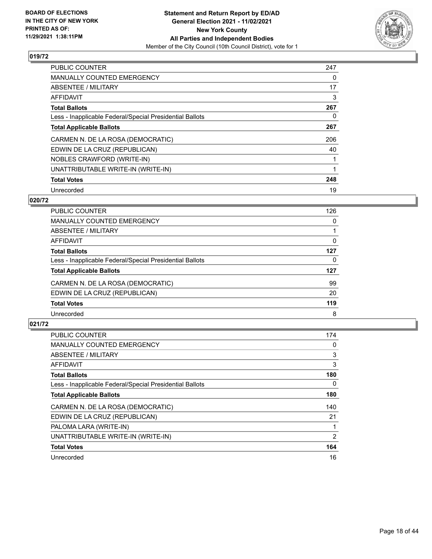

| <b>PUBLIC COUNTER</b>                                    | 247 |
|----------------------------------------------------------|-----|
| MANUALLY COUNTED EMERGENCY                               | 0   |
| ABSENTEE / MILITARY                                      | 17  |
| <b>AFFIDAVIT</b>                                         | 3   |
| <b>Total Ballots</b>                                     | 267 |
| Less - Inapplicable Federal/Special Presidential Ballots | 0   |
| <b>Total Applicable Ballots</b>                          | 267 |
| CARMEN N. DE LA ROSA (DEMOCRATIC)                        | 206 |
| EDWIN DE LA CRUZ (REPUBLICAN)                            | 40  |
| NOBLES CRAWFORD (WRITE-IN)                               |     |
| UNATTRIBUTABLE WRITE-IN (WRITE-IN)                       |     |
| <b>Total Votes</b>                                       | 248 |
| Unrecorded                                               | 19  |

### **020/72**

| <b>PUBLIC COUNTER</b>                                    | 126 |
|----------------------------------------------------------|-----|
| MANUALLY COUNTED EMERGENCY                               | 0   |
| ABSENTEE / MILITARY                                      |     |
| AFFIDAVIT                                                | 0   |
| <b>Total Ballots</b>                                     | 127 |
| Less - Inapplicable Federal/Special Presidential Ballots | 0   |
| <b>Total Applicable Ballots</b>                          | 127 |
| CARMEN N. DE LA ROSA (DEMOCRATIC)                        | 99  |
| EDWIN DE LA CRUZ (REPUBLICAN)                            | 20  |
| <b>Total Votes</b>                                       | 119 |
| Unrecorded                                               | 8   |

| <b>PUBLIC COUNTER</b>                                    | 174            |
|----------------------------------------------------------|----------------|
| <b>MANUALLY COUNTED EMERGENCY</b>                        | 0              |
| ABSENTEE / MILITARY                                      | 3              |
| AFFIDAVIT                                                | 3              |
| <b>Total Ballots</b>                                     | 180            |
| Less - Inapplicable Federal/Special Presidential Ballots | 0              |
| <b>Total Applicable Ballots</b>                          | 180            |
| CARMEN N. DE LA ROSA (DEMOCRATIC)                        | 140            |
| EDWIN DE LA CRUZ (REPUBLICAN)                            | 21             |
| PALOMA LARA (WRITE-IN)                                   |                |
| UNATTRIBUTABLE WRITE-IN (WRITE-IN)                       | $\overline{2}$ |
| <b>Total Votes</b>                                       | 164            |
| Unrecorded                                               | 16             |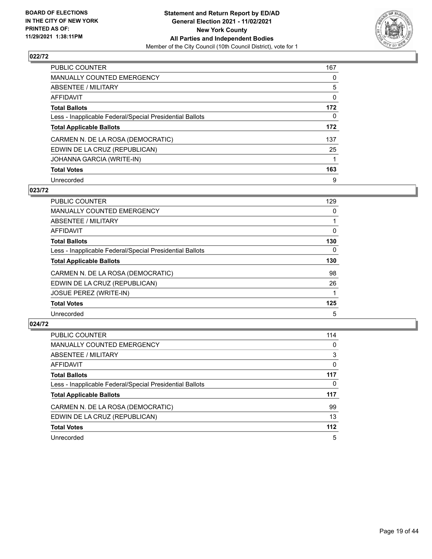

| <b>PUBLIC COUNTER</b>                                    | 167      |
|----------------------------------------------------------|----------|
| <b>MANUALLY COUNTED EMERGENCY</b>                        | 0        |
| ABSENTEE / MILITARY                                      | 5        |
| <b>AFFIDAVIT</b>                                         | 0        |
| <b>Total Ballots</b>                                     | 172      |
| Less - Inapplicable Federal/Special Presidential Ballots | $\Omega$ |
| <b>Total Applicable Ballots</b>                          | 172      |
| CARMEN N. DE LA ROSA (DEMOCRATIC)                        | 137      |
| EDWIN DE LA CRUZ (REPUBLICAN)                            | 25       |
| JOHANNA GARCIA (WRITE-IN)                                |          |
| <b>Total Votes</b>                                       | 163      |
| Unrecorded                                               | 9        |

### **023/72**

| <b>PUBLIC COUNTER</b>                                    | 129      |
|----------------------------------------------------------|----------|
| MANUALLY COUNTED EMERGENCY                               | 0        |
| <b>ABSENTEE / MILITARY</b>                               |          |
| <b>AFFIDAVIT</b>                                         | 0        |
| <b>Total Ballots</b>                                     | 130      |
| Less - Inapplicable Federal/Special Presidential Ballots | $\Omega$ |
| <b>Total Applicable Ballots</b>                          | 130      |
| CARMEN N. DE LA ROSA (DEMOCRATIC)                        | 98       |
| EDWIN DE LA CRUZ (REPUBLICAN)                            | 26       |
| JOSUE PEREZ (WRITE-IN)                                   |          |
| <b>Total Votes</b>                                       | 125      |
| Unrecorded                                               | 5        |

| <b>PUBLIC COUNTER</b>                                    | 114      |
|----------------------------------------------------------|----------|
| <b>MANUALLY COUNTED EMERGENCY</b>                        | 0        |
| ABSENTEE / MILITARY                                      | 3        |
| AFFIDAVIT                                                | $\Omega$ |
| <b>Total Ballots</b>                                     | 117      |
| Less - Inapplicable Federal/Special Presidential Ballots | 0        |
| <b>Total Applicable Ballots</b>                          | 117      |
| CARMEN N. DE LA ROSA (DEMOCRATIC)                        | 99       |
| EDWIN DE LA CRUZ (REPUBLICAN)                            | 13       |
| <b>Total Votes</b>                                       | 112      |
| Unrecorded                                               | 5        |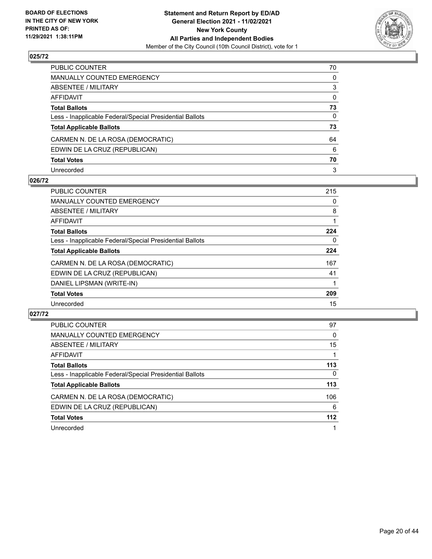

| PUBLIC COUNTER                                           | 70           |
|----------------------------------------------------------|--------------|
| MANUALLY COUNTED EMERGENCY                               | 0            |
| ABSENTEE / MILITARY                                      | 3            |
| AFFIDAVIT                                                | $\mathbf{0}$ |
| Total Ballots                                            | 73           |
| Less - Inapplicable Federal/Special Presidential Ballots | $\Omega$     |
| <b>Total Applicable Ballots</b>                          | 73           |
| CARMEN N. DE LA ROSA (DEMOCRATIC)                        | 64           |
| EDWIN DE LA CRUZ (REPUBLICAN)                            | 6            |
| <b>Total Votes</b>                                       | 70           |
| Unrecorded                                               | 3            |

#### **026/72**

| <b>PUBLIC COUNTER</b>                                    | 215 |
|----------------------------------------------------------|-----|
| <b>MANUALLY COUNTED EMERGENCY</b>                        | 0   |
| ABSENTEE / MILITARY                                      | 8   |
| AFFIDAVIT                                                |     |
| <b>Total Ballots</b>                                     | 224 |
| Less - Inapplicable Federal/Special Presidential Ballots | 0   |
| <b>Total Applicable Ballots</b>                          | 224 |
| CARMEN N. DE LA ROSA (DEMOCRATIC)                        | 167 |
| EDWIN DE LA CRUZ (REPUBLICAN)                            | 41  |
| DANIEL LIPSMAN (WRITE-IN)                                |     |
| <b>Total Votes</b>                                       | 209 |
| Unrecorded                                               | 15  |

| <b>PUBLIC COUNTER</b>                                    | 97       |
|----------------------------------------------------------|----------|
| <b>MANUALLY COUNTED EMERGENCY</b>                        | $\Omega$ |
| ABSENTEE / MILITARY                                      | 15       |
| AFFIDAVIT                                                |          |
| <b>Total Ballots</b>                                     | 113      |
| Less - Inapplicable Federal/Special Presidential Ballots | 0        |
| <b>Total Applicable Ballots</b>                          | 113      |
| CARMEN N. DE LA ROSA (DEMOCRATIC)                        | 106      |
| EDWIN DE LA CRUZ (REPUBLICAN)                            | 6        |
| <b>Total Votes</b>                                       | 112      |
| Unrecorded                                               |          |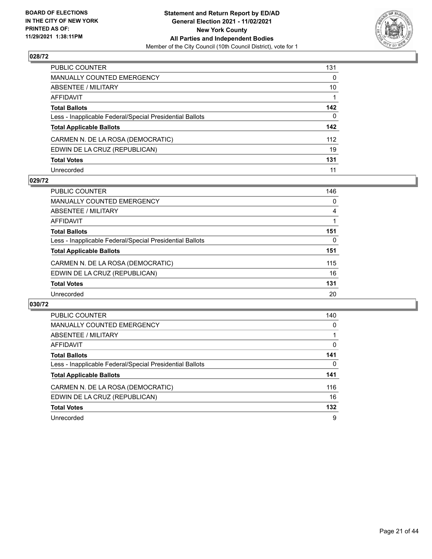

| PUBLIC COUNTER                                           | 131      |
|----------------------------------------------------------|----------|
| MANUALLY COUNTED EMERGENCY                               | 0        |
| ABSENTEE / MILITARY                                      | 10       |
| AFFIDAVIT                                                |          |
| Total Ballots                                            | 142      |
| Less - Inapplicable Federal/Special Presidential Ballots | $\Omega$ |
| <b>Total Applicable Ballots</b>                          | 142      |
| CARMEN N. DE LA ROSA (DEMOCRATIC)                        | 112      |
| EDWIN DE LA CRUZ (REPUBLICAN)                            | 19       |
| <b>Total Votes</b>                                       | 131      |
| Unrecorded                                               | 11       |

#### **029/72**

| <b>PUBLIC COUNTER</b>                                    | 146 |
|----------------------------------------------------------|-----|
| <b>MANUALLY COUNTED EMERGENCY</b>                        | 0   |
| ABSENTEE / MILITARY                                      | 4   |
| AFFIDAVIT                                                |     |
| <b>Total Ballots</b>                                     | 151 |
| Less - Inapplicable Federal/Special Presidential Ballots | 0   |
| <b>Total Applicable Ballots</b>                          | 151 |
| CARMEN N. DE LA ROSA (DEMOCRATIC)                        | 115 |
| EDWIN DE LA CRUZ (REPUBLICAN)                            | 16  |
| <b>Total Votes</b>                                       | 131 |
| Unrecorded                                               | 20  |

| <b>PUBLIC COUNTER</b>                                    | 140      |
|----------------------------------------------------------|----------|
| <b>MANUALLY COUNTED EMERGENCY</b>                        | 0        |
| <b>ABSENTEE / MILITARY</b>                               |          |
| AFFIDAVIT                                                | $\Omega$ |
| <b>Total Ballots</b>                                     | 141      |
| Less - Inapplicable Federal/Special Presidential Ballots | 0        |
| <b>Total Applicable Ballots</b>                          | 141      |
| CARMEN N. DE LA ROSA (DEMOCRATIC)                        | 116      |
| EDWIN DE LA CRUZ (REPUBLICAN)                            | 16       |
| <b>Total Votes</b>                                       | 132      |
| Unrecorded                                               | 9        |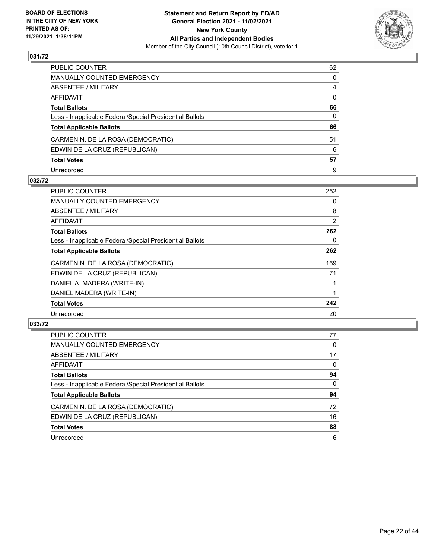

| PUBLIC COUNTER                                           | 62           |
|----------------------------------------------------------|--------------|
| MANUALLY COUNTED EMERGENCY                               | $\Omega$     |
| ABSENTEE / MILITARY                                      | 4            |
| AFFIDAVIT                                                | $\mathbf{0}$ |
| <b>Total Ballots</b>                                     | 66           |
| Less - Inapplicable Federal/Special Presidential Ballots | 0            |
| <b>Total Applicable Ballots</b>                          | 66           |
| CARMEN N. DE LA ROSA (DEMOCRATIC)                        | 51           |
| EDWIN DE LA CRUZ (REPUBLICAN)                            | 6            |
| <b>Total Votes</b>                                       | 57           |
| Unrecorded                                               | 9            |

#### **032/72**

| <b>PUBLIC COUNTER</b>                                    | 252            |
|----------------------------------------------------------|----------------|
| MANUALLY COUNTED EMERGENCY                               | $\Omega$       |
| ABSENTEE / MILITARY                                      | 8              |
| AFFIDAVIT                                                | $\overline{2}$ |
| <b>Total Ballots</b>                                     | 262            |
| Less - Inapplicable Federal/Special Presidential Ballots | 0              |
| <b>Total Applicable Ballots</b>                          | 262            |
| CARMEN N. DE LA ROSA (DEMOCRATIC)                        | 169            |
| EDWIN DE LA CRUZ (REPUBLICAN)                            | 71             |
| DANIEL A. MADERA (WRITE-IN)                              |                |
| DANIEL MADERA (WRITE-IN)                                 |                |
| <b>Total Votes</b>                                       | 242            |
| Unrecorded                                               | 20             |

| <b>PUBLIC COUNTER</b>                                    | 77       |
|----------------------------------------------------------|----------|
| <b>MANUALLY COUNTED EMERGENCY</b>                        | 0        |
| ABSENTEE / MILITARY                                      | 17       |
| AFFIDAVIT                                                | 0        |
| <b>Total Ballots</b>                                     | 94       |
| Less - Inapplicable Federal/Special Presidential Ballots | $\Omega$ |
| <b>Total Applicable Ballots</b>                          | 94       |
| CARMEN N. DE LA ROSA (DEMOCRATIC)                        | 72       |
| EDWIN DE LA CRUZ (REPUBLICAN)                            | 16       |
| <b>Total Votes</b>                                       | 88       |
| Unrecorded                                               | 6        |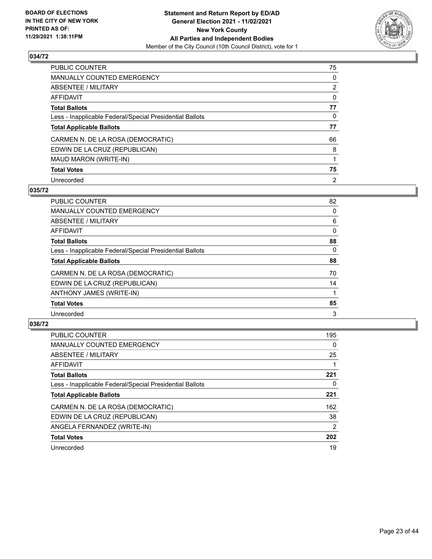

| <b>PUBLIC COUNTER</b>                                    | 75             |
|----------------------------------------------------------|----------------|
| <b>MANUALLY COUNTED EMERGENCY</b>                        | 0              |
| ABSENTEE / MILITARY                                      | $\overline{2}$ |
| <b>AFFIDAVIT</b>                                         | $\Omega$       |
| <b>Total Ballots</b>                                     | 77             |
| Less - Inapplicable Federal/Special Presidential Ballots | $\Omega$       |
| <b>Total Applicable Ballots</b>                          | 77             |
| CARMEN N. DE LA ROSA (DEMOCRATIC)                        | 66             |
| EDWIN DE LA CRUZ (REPUBLICAN)                            | 8              |
| MAUD MARON (WRITE-IN)                                    |                |
| <b>Total Votes</b>                                       | 75             |
| Unrecorded                                               | $\overline{2}$ |

### **035/72**

| <b>PUBLIC COUNTER</b>                                    | 82       |
|----------------------------------------------------------|----------|
| <b>MANUALLY COUNTED EMERGENCY</b>                        | 0        |
| ABSENTEE / MILITARY                                      | 6        |
| <b>AFFIDAVIT</b>                                         | $\Omega$ |
| <b>Total Ballots</b>                                     | 88       |
| Less - Inapplicable Federal/Special Presidential Ballots | $\Omega$ |
| <b>Total Applicable Ballots</b>                          | 88       |
| CARMEN N. DE LA ROSA (DEMOCRATIC)                        | 70       |
| EDWIN DE LA CRUZ (REPUBLICAN)                            | 14       |
| ANTHONY JAMES (WRITE-IN)                                 |          |
| <b>Total Votes</b>                                       | 85       |
| Unrecorded                                               | 3        |

| <b>PUBLIC COUNTER</b>                                    | 195           |
|----------------------------------------------------------|---------------|
| <b>MANUALLY COUNTED EMERGENCY</b>                        | $\Omega$      |
| ABSENTEE / MILITARY                                      | 25            |
| <b>AFFIDAVIT</b>                                         |               |
| <b>Total Ballots</b>                                     | 221           |
| Less - Inapplicable Federal/Special Presidential Ballots | 0             |
| <b>Total Applicable Ballots</b>                          | 221           |
| CARMEN N. DE LA ROSA (DEMOCRATIC)                        | 162           |
| EDWIN DE LA CRUZ (REPUBLICAN)                            | 38            |
| ANGELA FERNANDEZ (WRITE-IN)                              | $\mathcal{P}$ |
| <b>Total Votes</b>                                       | 202           |
| Unrecorded                                               | 19            |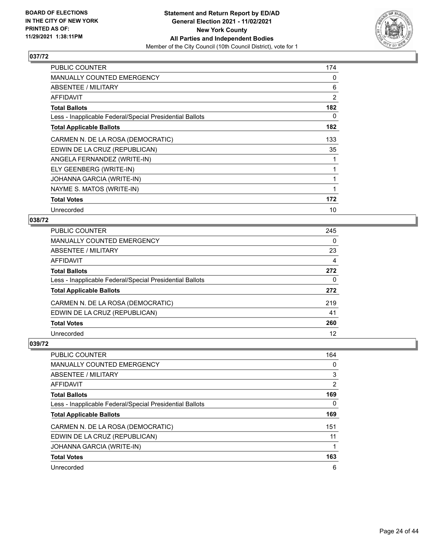

| PUBLIC COUNTER                                           | 174 |
|----------------------------------------------------------|-----|
| <b>MANUALLY COUNTED EMERGENCY</b>                        | 0   |
| ABSENTEE / MILITARY                                      | 6   |
| AFFIDAVIT                                                | 2   |
| <b>Total Ballots</b>                                     | 182 |
| Less - Inapplicable Federal/Special Presidential Ballots | 0   |
| <b>Total Applicable Ballots</b>                          | 182 |
| CARMEN N. DE LA ROSA (DEMOCRATIC)                        | 133 |
| EDWIN DE LA CRUZ (REPUBLICAN)                            | 35  |
| ANGELA FERNANDEZ (WRITE-IN)                              |     |
| ELY GEENBERG (WRITE-IN)                                  |     |
| JOHANNA GARCIA (WRITE-IN)                                |     |
| NAYME S. MATOS (WRITE-IN)                                | 1   |
| <b>Total Votes</b>                                       | 172 |
| Unrecorded                                               | 10  |

## **038/72**

| PUBLIC COUNTER                                           | 245      |
|----------------------------------------------------------|----------|
| <b>MANUALLY COUNTED EMERGENCY</b>                        | $\Omega$ |
| ABSENTEE / MILITARY                                      | 23       |
| AFFIDAVIT                                                | 4        |
| <b>Total Ballots</b>                                     | 272      |
| Less - Inapplicable Federal/Special Presidential Ballots | $\Omega$ |
| <b>Total Applicable Ballots</b>                          | 272      |
| CARMEN N. DE LA ROSA (DEMOCRATIC)                        | 219      |
| EDWIN DE LA CRUZ (REPUBLICAN)                            | 41       |
| <b>Total Votes</b>                                       | 260      |
| Unrecorded                                               | 12       |
|                                                          |          |

| PUBLIC COUNTER                                           | 164            |
|----------------------------------------------------------|----------------|
| <b>MANUALLY COUNTED EMERGENCY</b>                        | 0              |
| ABSENTEE / MILITARY                                      | 3              |
| AFFIDAVIT                                                | $\overline{2}$ |
| <b>Total Ballots</b>                                     | 169            |
| Less - Inapplicable Federal/Special Presidential Ballots | 0              |
| <b>Total Applicable Ballots</b>                          | 169            |
| CARMEN N. DE LA ROSA (DEMOCRATIC)                        | 151            |
| EDWIN DE LA CRUZ (REPUBLICAN)                            | 11             |
| JOHANNA GARCIA (WRITE-IN)                                |                |
| <b>Total Votes</b>                                       | 163            |
| Unrecorded                                               | 6              |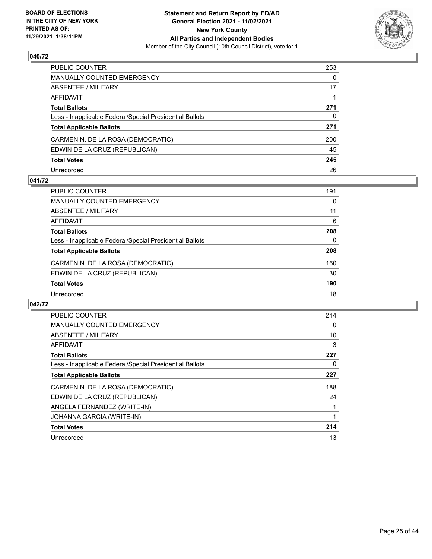

| PUBLIC COUNTER                                           | 253 |
|----------------------------------------------------------|-----|
| MANUALLY COUNTED EMERGENCY                               | 0   |
| ABSENTEE / MILITARY                                      | 17  |
| AFFIDAVIT                                                |     |
| Total Ballots                                            | 271 |
| Less - Inapplicable Federal/Special Presidential Ballots | 0   |
| <b>Total Applicable Ballots</b>                          | 271 |
| CARMEN N. DE LA ROSA (DEMOCRATIC)                        | 200 |
| EDWIN DE LA CRUZ (REPUBLICAN)                            | 45  |
| <b>Total Votes</b>                                       | 245 |
| Unrecorded                                               | 26  |

#### **041/72**

| PUBLIC COUNTER                                           | 191 |
|----------------------------------------------------------|-----|
| MANUALLY COUNTED EMERGENCY                               | 0   |
| ABSENTEE / MILITARY                                      | 11  |
| AFFIDAVIT                                                | 6   |
| <b>Total Ballots</b>                                     | 208 |
| Less - Inapplicable Federal/Special Presidential Ballots | 0   |
| <b>Total Applicable Ballots</b>                          | 208 |
| CARMEN N. DE LA ROSA (DEMOCRATIC)                        | 160 |
| EDWIN DE LA CRUZ (REPUBLICAN)                            | 30  |
| <b>Total Votes</b>                                       | 190 |
| Unrecorded                                               | 18  |

| PUBLIC COUNTER                                           | 214 |
|----------------------------------------------------------|-----|
| <b>MANUALLY COUNTED EMERGENCY</b>                        | 0   |
| ABSENTEE / MILITARY                                      | 10  |
| AFFIDAVIT                                                | 3   |
| <b>Total Ballots</b>                                     | 227 |
| Less - Inapplicable Federal/Special Presidential Ballots | 0   |
| <b>Total Applicable Ballots</b>                          | 227 |
| CARMEN N. DE LA ROSA (DEMOCRATIC)                        | 188 |
| EDWIN DE LA CRUZ (REPUBLICAN)                            | 24  |
| ANGELA FERNANDEZ (WRITE-IN)                              |     |
| JOHANNA GARCIA (WRITE-IN)                                |     |
| <b>Total Votes</b>                                       | 214 |
| Unrecorded                                               | 13  |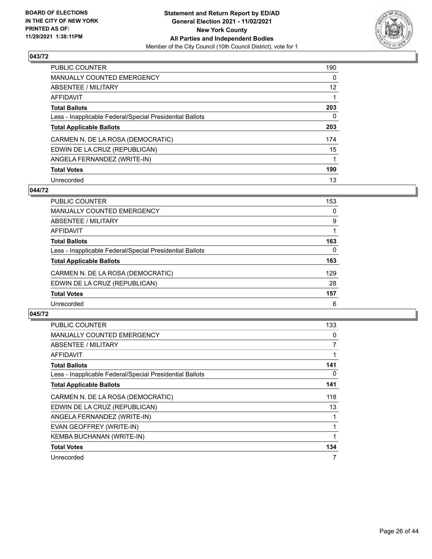

| PUBLIC COUNTER                                           | 190      |
|----------------------------------------------------------|----------|
| <b>MANUALLY COUNTED EMERGENCY</b>                        | $\Omega$ |
| ABSENTEE / MILITARY                                      | 12       |
| AFFIDAVIT                                                |          |
| <b>Total Ballots</b>                                     | 203      |
| Less - Inapplicable Federal/Special Presidential Ballots | 0        |
| <b>Total Applicable Ballots</b>                          | 203      |
| CARMEN N. DE LA ROSA (DEMOCRATIC)                        | 174      |
| EDWIN DE LA CRUZ (REPUBLICAN)                            | 15       |
| ANGELA FERNANDEZ (WRITE-IN)                              |          |
| <b>Total Votes</b>                                       | 190      |
| Unrecorded                                               | 13       |

# **044/72**

| <b>PUBLIC COUNTER</b>                                    | 153 |
|----------------------------------------------------------|-----|
| <b>MANUALLY COUNTED EMERGENCY</b>                        | 0   |
| ABSENTEE / MILITARY                                      | 9   |
| AFFIDAVIT                                                |     |
| <b>Total Ballots</b>                                     | 163 |
| Less - Inapplicable Federal/Special Presidential Ballots | 0   |
| <b>Total Applicable Ballots</b>                          | 163 |
| CARMEN N. DE LA ROSA (DEMOCRATIC)                        | 129 |
| EDWIN DE LA CRUZ (REPUBLICAN)                            | 28  |
| <b>Total Votes</b>                                       | 157 |
| Unrecorded                                               | 6   |

| <b>PUBLIC COUNTER</b>                                    | 133 |
|----------------------------------------------------------|-----|
| <b>MANUALLY COUNTED EMERGENCY</b>                        | 0   |
| ABSENTEE / MILITARY                                      | 7   |
| AFFIDAVIT                                                |     |
| <b>Total Ballots</b>                                     | 141 |
| Less - Inapplicable Federal/Special Presidential Ballots | 0   |
| <b>Total Applicable Ballots</b>                          | 141 |
| CARMEN N. DE LA ROSA (DEMOCRATIC)                        | 118 |
| EDWIN DE LA CRUZ (REPUBLICAN)                            | 13  |
| ANGELA FERNANDEZ (WRITE-IN)                              |     |
| EVAN GEOFFREY (WRITE-IN)                                 |     |
| KEMBA BUCHANAN (WRITE-IN)                                |     |
| <b>Total Votes</b>                                       | 134 |
| Unrecorded                                               | 7   |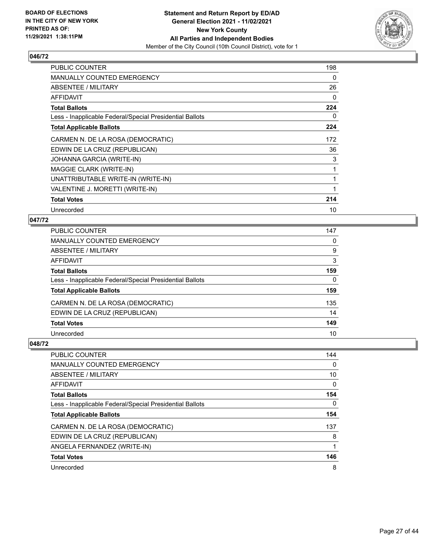

| <b>PUBLIC COUNTER</b>                                    | 198      |
|----------------------------------------------------------|----------|
| <b>MANUALLY COUNTED EMERGENCY</b>                        | $\Omega$ |
| ABSENTEE / MILITARY                                      | 26       |
| <b>AFFIDAVIT</b>                                         | $\Omega$ |
| <b>Total Ballots</b>                                     | 224      |
| Less - Inapplicable Federal/Special Presidential Ballots | 0        |
| <b>Total Applicable Ballots</b>                          | 224      |
| CARMEN N. DE LA ROSA (DEMOCRATIC)                        | 172      |
| EDWIN DE LA CRUZ (REPUBLICAN)                            | 36       |
| JOHANNA GARCIA (WRITE-IN)                                | 3        |
| MAGGIE CLARK (WRITE-IN)                                  |          |
| UNATTRIBUTABLE WRITE-IN (WRITE-IN)                       | 1        |
| VALENTINE J. MORETTI (WRITE-IN)                          | 1        |
| <b>Total Votes</b>                                       | 214      |
| Unrecorded                                               | 10       |

## **047/72**

| PUBLIC COUNTER                                           | 147 |
|----------------------------------------------------------|-----|
| MANUALLY COUNTED EMERGENCY                               | 0   |
| ABSENTEE / MILITARY                                      | 9   |
| AFFIDAVIT                                                | 3   |
| Total Ballots                                            | 159 |
| Less - Inapplicable Federal/Special Presidential Ballots | 0   |
| <b>Total Applicable Ballots</b>                          | 159 |
| CARMEN N. DE LA ROSA (DEMOCRATIC)                        | 135 |
| EDWIN DE LA CRUZ (REPUBLICAN)                            | 14  |
| <b>Total Votes</b>                                       | 149 |
| Unrecorded                                               | 10  |
|                                                          |     |

| <b>PUBLIC COUNTER</b>                                    | 144 |
|----------------------------------------------------------|-----|
| <b>MANUALLY COUNTED EMERGENCY</b>                        | 0   |
| ABSENTEE / MILITARY                                      | 10  |
| AFFIDAVIT                                                | 0   |
| <b>Total Ballots</b>                                     | 154 |
| Less - Inapplicable Federal/Special Presidential Ballots | 0   |
| <b>Total Applicable Ballots</b>                          | 154 |
| CARMEN N. DE LA ROSA (DEMOCRATIC)                        | 137 |
| EDWIN DE LA CRUZ (REPUBLICAN)                            | 8   |
| ANGELA FERNANDEZ (WRITE-IN)                              | 1   |
| <b>Total Votes</b>                                       | 146 |
| Unrecorded                                               | 8   |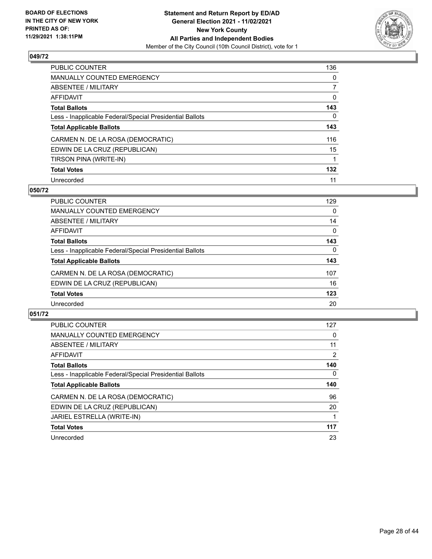

| PUBLIC COUNTER                                           | 136      |
|----------------------------------------------------------|----------|
| <b>MANUALLY COUNTED EMERGENCY</b>                        | $\Omega$ |
| ABSENTEE / MILITARY                                      |          |
| AFFIDAVIT                                                | 0        |
| <b>Total Ballots</b>                                     | 143      |
| Less - Inapplicable Federal/Special Presidential Ballots | 0        |
| <b>Total Applicable Ballots</b>                          | 143      |
| CARMEN N. DE LA ROSA (DEMOCRATIC)                        | 116      |
| EDWIN DE LA CRUZ (REPUBLICAN)                            | 15       |
| TIRSON PINA (WRITE-IN)                                   |          |
| <b>Total Votes</b>                                       | 132      |
| Unrecorded                                               | 11       |

### **050/72**

| <b>PUBLIC COUNTER</b>                                    | 129      |
|----------------------------------------------------------|----------|
| MANUALLY COUNTED EMERGENCY                               | 0        |
| ABSENTEE / MILITARY                                      | 14       |
| <b>AFFIDAVIT</b>                                         | 0        |
| <b>Total Ballots</b>                                     | 143      |
| Less - Inapplicable Federal/Special Presidential Ballots | $\Omega$ |
| <b>Total Applicable Ballots</b>                          | 143      |
| CARMEN N. DE LA ROSA (DEMOCRATIC)                        | 107      |
| EDWIN DE LA CRUZ (REPUBLICAN)                            | 16       |
| <b>Total Votes</b>                                       | 123      |
| Unrecorded                                               | 20       |

| <b>PUBLIC COUNTER</b>                                    | 127            |
|----------------------------------------------------------|----------------|
| <b>MANUALLY COUNTED EMERGENCY</b>                        | 0              |
| ABSENTEE / MILITARY                                      | 11             |
| AFFIDAVIT                                                | $\overline{2}$ |
| <b>Total Ballots</b>                                     | 140            |
| Less - Inapplicable Federal/Special Presidential Ballots | 0              |
| <b>Total Applicable Ballots</b>                          | 140            |
| CARMEN N. DE LA ROSA (DEMOCRATIC)                        | 96             |
| EDWIN DE LA CRUZ (REPUBLICAN)                            | 20             |
| JARIEL ESTRELLA (WRITE-IN)                               |                |
| <b>Total Votes</b>                                       | 117            |
| Unrecorded                                               | 23             |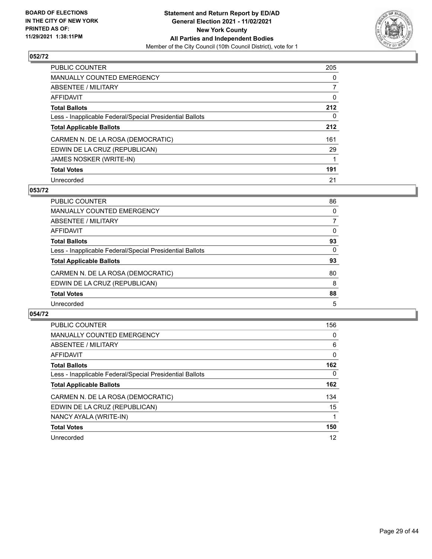

| <b>PUBLIC COUNTER</b>                                    | 205          |
|----------------------------------------------------------|--------------|
| MANUALLY COUNTED EMERGENCY                               | 0            |
| ABSENTEE / MILITARY                                      | $\mathbf{7}$ |
| AFFIDAVIT                                                | $\Omega$     |
| <b>Total Ballots</b>                                     | 212          |
| Less - Inapplicable Federal/Special Presidential Ballots | 0            |
| <b>Total Applicable Ballots</b>                          | 212          |
| CARMEN N. DE LA ROSA (DEMOCRATIC)                        | 161          |
| EDWIN DE LA CRUZ (REPUBLICAN)                            | 29           |
| JAMES NOSKER (WRITE-IN)                                  |              |
| <b>Total Votes</b>                                       | 191          |
| Unrecorded                                               | 21           |

### **053/72**

| <b>PUBLIC COUNTER</b>                                    | 86       |
|----------------------------------------------------------|----------|
| MANUALLY COUNTED EMERGENCY                               | $\Omega$ |
| ABSENTEE / MILITARY                                      |          |
| AFFIDAVIT                                                | $\Omega$ |
| <b>Total Ballots</b>                                     | 93       |
| Less - Inapplicable Federal/Special Presidential Ballots | $\Omega$ |
| <b>Total Applicable Ballots</b>                          | 93       |
| CARMEN N. DE LA ROSA (DEMOCRATIC)                        | 80       |
| EDWIN DE LA CRUZ (REPUBLICAN)                            | 8        |
| <b>Total Votes</b>                                       | 88       |
| Unrecorded                                               | 5        |

| <b>PUBLIC COUNTER</b>                                    | 156      |
|----------------------------------------------------------|----------|
| <b>MANUALLY COUNTED EMERGENCY</b>                        | 0        |
| ABSENTEE / MILITARY                                      | 6        |
| <b>AFFIDAVIT</b>                                         | 0        |
| <b>Total Ballots</b>                                     | 162      |
| Less - Inapplicable Federal/Special Presidential Ballots | $\Omega$ |
| <b>Total Applicable Ballots</b>                          | 162      |
| CARMEN N. DE LA ROSA (DEMOCRATIC)                        | 134      |
| EDWIN DE LA CRUZ (REPUBLICAN)                            | 15       |
| NANCY AYALA (WRITE-IN)                                   |          |
| <b>Total Votes</b>                                       | 150      |
| Unrecorded                                               | 12       |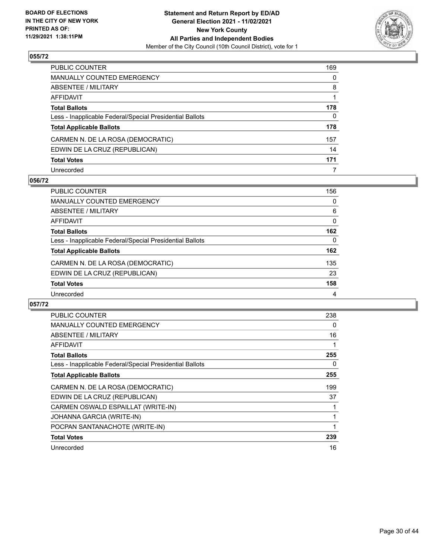

| PUBLIC COUNTER                                           | 169      |
|----------------------------------------------------------|----------|
| MANUALLY COUNTED EMERGENCY                               | 0        |
| ABSENTEE / MILITARY                                      | 8        |
| AFFIDAVIT                                                |          |
| Total Ballots                                            | 178      |
| Less - Inapplicable Federal/Special Presidential Ballots | $\Omega$ |
| <b>Total Applicable Ballots</b>                          | 178      |
| CARMEN N. DE LA ROSA (DEMOCRATIC)                        | 157      |
| EDWIN DE LA CRUZ (REPUBLICAN)                            | 14       |
| <b>Total Votes</b>                                       | 171      |
| Unrecorded                                               | 7        |

#### **056/72**

| PUBLIC COUNTER                                           | 156      |
|----------------------------------------------------------|----------|
| MANUALLY COUNTED EMERGENCY                               | 0        |
| ABSENTEE / MILITARY                                      | 6        |
| <b>AFFIDAVIT</b>                                         | $\Omega$ |
| <b>Total Ballots</b>                                     | 162      |
| Less - Inapplicable Federal/Special Presidential Ballots | 0        |
| <b>Total Applicable Ballots</b>                          | 162      |
| CARMEN N. DE LA ROSA (DEMOCRATIC)                        | 135      |
| EDWIN DE LA CRUZ (REPUBLICAN)                            | 23       |
| <b>Total Votes</b>                                       | 158      |
| Unrecorded                                               | 4        |

| <b>PUBLIC COUNTER</b>                                    | 238 |
|----------------------------------------------------------|-----|
| <b>MANUALLY COUNTED EMERGENCY</b>                        | 0   |
| ABSENTEE / MILITARY                                      | 16  |
| AFFIDAVIT                                                |     |
| <b>Total Ballots</b>                                     | 255 |
| Less - Inapplicable Federal/Special Presidential Ballots | 0   |
| <b>Total Applicable Ballots</b>                          | 255 |
| CARMEN N. DE LA ROSA (DEMOCRATIC)                        | 199 |
| EDWIN DE LA CRUZ (REPUBLICAN)                            | 37  |
| CARMEN OSWALD ESPAILLAT (WRITE-IN)                       |     |
| JOHANNA GARCIA (WRITE-IN)                                |     |
| POCPAN SANTANACHOTE (WRITE-IN)                           |     |
| <b>Total Votes</b>                                       | 239 |
| Unrecorded                                               | 16  |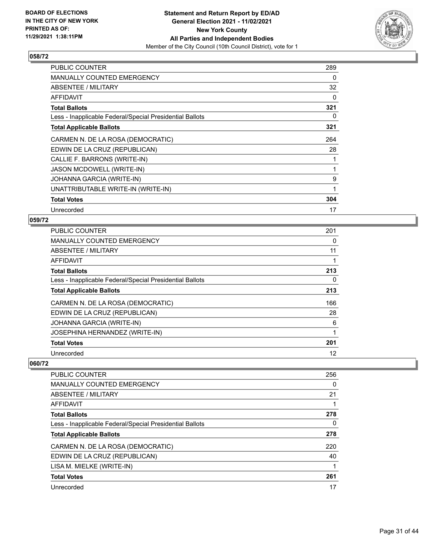

| PUBLIC COUNTER                                           | 289 |
|----------------------------------------------------------|-----|
| MANUALLY COUNTED EMERGENCY                               | 0   |
| ABSENTEE / MILITARY                                      | 32  |
| AFFIDAVIT                                                | 0   |
| <b>Total Ballots</b>                                     | 321 |
| Less - Inapplicable Federal/Special Presidential Ballots | 0   |
| <b>Total Applicable Ballots</b>                          | 321 |
| CARMEN N. DE LA ROSA (DEMOCRATIC)                        | 264 |
| EDWIN DE LA CRUZ (REPUBLICAN)                            | 28  |
| CALLIE F. BARRONS (WRITE-IN)                             |     |
| JASON MCDOWELL (WRITE-IN)                                |     |
| JOHANNA GARCIA (WRITE-IN)                                | 9   |
| UNATTRIBUTABLE WRITE-IN (WRITE-IN)                       | 1   |
| <b>Total Votes</b>                                       | 304 |
| Unrecorded                                               | 17  |

### **059/72**

| <b>PUBLIC COUNTER</b>                                    | 201 |
|----------------------------------------------------------|-----|
| <b>MANUALLY COUNTED EMERGENCY</b>                        | 0   |
| ABSENTEE / MILITARY                                      | 11  |
| <b>AFFIDAVIT</b>                                         |     |
| <b>Total Ballots</b>                                     | 213 |
| Less - Inapplicable Federal/Special Presidential Ballots | 0   |
| <b>Total Applicable Ballots</b>                          | 213 |
| CARMEN N. DE LA ROSA (DEMOCRATIC)                        | 166 |
| EDWIN DE LA CRUZ (REPUBLICAN)                            | 28  |
| JOHANNA GARCIA (WRITE-IN)                                | 6   |
| JOSEPHINA HERNANDEZ (WRITE-IN)                           | 1   |
| <b>Total Votes</b>                                       | 201 |
| Unrecorded                                               | 12  |

| 256 |
|-----|
| 0   |
| 21  |
|     |
| 278 |
| 0   |
| 278 |
| 220 |
| 40  |
|     |
| 261 |
| 17  |
|     |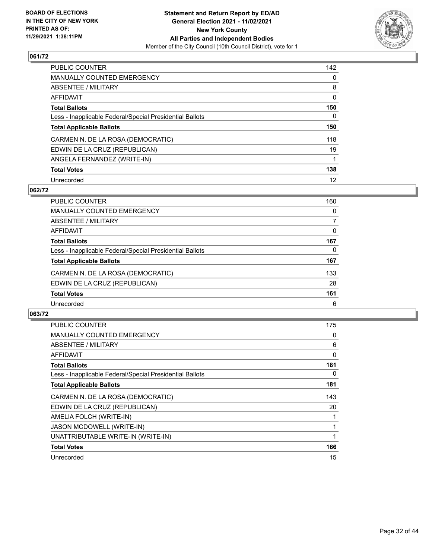

| PUBLIC COUNTER                                           | 142      |
|----------------------------------------------------------|----------|
| <b>MANUALLY COUNTED EMERGENCY</b>                        | $\Omega$ |
| ABSENTEE / MILITARY                                      | 8        |
| AFFIDAVIT                                                | 0        |
| <b>Total Ballots</b>                                     | 150      |
| Less - Inapplicable Federal/Special Presidential Ballots | 0        |
| <b>Total Applicable Ballots</b>                          | 150      |
| CARMEN N. DE LA ROSA (DEMOCRATIC)                        | 118      |
| EDWIN DE LA CRUZ (REPUBLICAN)                            | 19       |
| ANGELA FERNANDEZ (WRITE-IN)                              |          |
| <b>Total Votes</b>                                       | 138      |
| Unrecorded                                               | 12       |

### **062/72**

| PUBLIC COUNTER                                           | 160 |
|----------------------------------------------------------|-----|
| MANUALLY COUNTED EMERGENCY                               | 0   |
| ABSENTEE / MILITARY                                      | 7   |
| AFFIDAVIT                                                | 0   |
| <b>Total Ballots</b>                                     | 167 |
| Less - Inapplicable Federal/Special Presidential Ballots | 0   |
| <b>Total Applicable Ballots</b>                          | 167 |
| CARMEN N. DE LA ROSA (DEMOCRATIC)                        | 133 |
| EDWIN DE LA CRUZ (REPUBLICAN)                            | 28  |
| <b>Total Votes</b>                                       | 161 |
| Unrecorded                                               | 6   |

| <b>PUBLIC COUNTER</b>                                    | 175 |
|----------------------------------------------------------|-----|
| <b>MANUALLY COUNTED EMERGENCY</b>                        | 0   |
| ABSENTEE / MILITARY                                      | 6   |
| AFFIDAVIT                                                | 0   |
| <b>Total Ballots</b>                                     | 181 |
| Less - Inapplicable Federal/Special Presidential Ballots | 0   |
| <b>Total Applicable Ballots</b>                          | 181 |
| CARMEN N. DE LA ROSA (DEMOCRATIC)                        | 143 |
| EDWIN DE LA CRUZ (REPUBLICAN)                            | 20  |
| AMELIA FOLCH (WRITE-IN)                                  |     |
| <b>JASON MCDOWELL (WRITE-IN)</b>                         |     |
| UNATTRIBUTABLE WRITE-IN (WRITE-IN)                       |     |
| <b>Total Votes</b>                                       | 166 |
| Unrecorded                                               | 15  |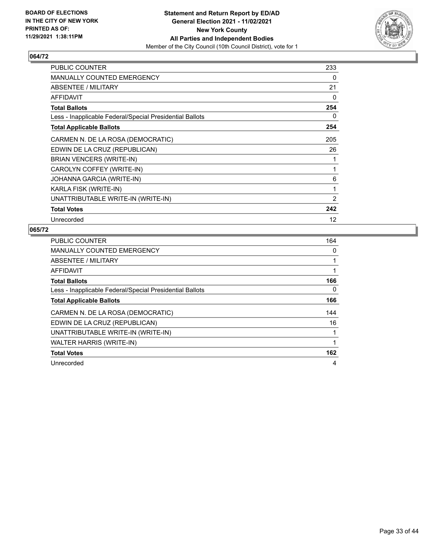

| <b>PUBLIC COUNTER</b>                                    | 233 |
|----------------------------------------------------------|-----|
| <b>MANUALLY COUNTED EMERGENCY</b>                        | 0   |
| ABSENTEE / MILITARY                                      | 21  |
| AFFIDAVIT                                                | 0   |
| <b>Total Ballots</b>                                     | 254 |
| Less - Inapplicable Federal/Special Presidential Ballots | 0   |
| <b>Total Applicable Ballots</b>                          | 254 |
| CARMEN N. DE LA ROSA (DEMOCRATIC)                        | 205 |
| EDWIN DE LA CRUZ (REPUBLICAN)                            | 26  |
| BRIAN VENCERS (WRITE-IN)                                 |     |
| CAROLYN COFFEY (WRITE-IN)                                |     |
| JOHANNA GARCIA (WRITE-IN)                                | 6   |
| KARLA FISK (WRITE-IN)                                    | 1   |
| UNATTRIBUTABLE WRITE-IN (WRITE-IN)                       | 2   |
| <b>Total Votes</b>                                       | 242 |
| Unrecorded                                               | 12  |

| <b>PUBLIC COUNTER</b>                                    | 164 |
|----------------------------------------------------------|-----|
| MANUALLY COUNTED EMERGENCY                               | 0   |
| ABSENTEE / MILITARY                                      | 1   |
| AFFIDAVIT                                                |     |
| <b>Total Ballots</b>                                     | 166 |
| Less - Inapplicable Federal/Special Presidential Ballots | 0   |
| <b>Total Applicable Ballots</b>                          | 166 |
| CARMEN N. DE LA ROSA (DEMOCRATIC)                        | 144 |
| EDWIN DE LA CRUZ (REPUBLICAN)                            | 16  |
| UNATTRIBUTABLE WRITE-IN (WRITE-IN)                       | 1   |
| WALTER HARRIS (WRITE-IN)                                 | 1   |
| <b>Total Votes</b>                                       | 162 |
| Unrecorded                                               | 4   |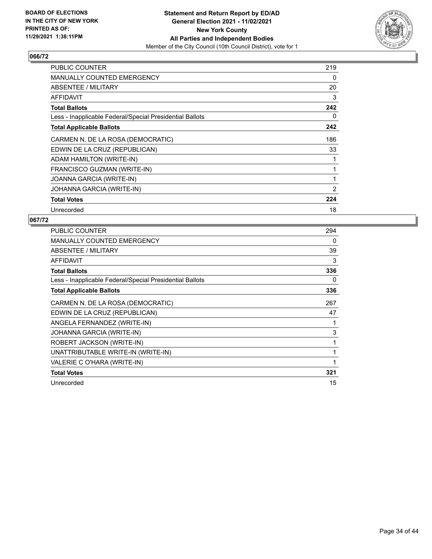

| <b>PUBLIC COUNTER</b>                                    | 219            |
|----------------------------------------------------------|----------------|
| MANUALLY COUNTED EMERGENCY                               | 0              |
| ABSENTEE / MILITARY                                      | 20             |
| AFFIDAVIT                                                | 3              |
| <b>Total Ballots</b>                                     | 242            |
| Less - Inapplicable Federal/Special Presidential Ballots | 0              |
| <b>Total Applicable Ballots</b>                          | 242            |
| CARMEN N. DE LA ROSA (DEMOCRATIC)                        | 186            |
| EDWIN DE LA CRUZ (REPUBLICAN)                            | 33             |
| ADAM HAMILTON (WRITE-IN)                                 |                |
| FRANCISCO GUZMAN (WRITE-IN)                              |                |
| JOANNA GARCIA (WRITE-IN)                                 | 1              |
| JOHANNA GARCIA (WRITE-IN)                                | $\overline{2}$ |
| <b>Total Votes</b>                                       | 224            |
| Unrecorded                                               | 18             |

| PUBLIC COUNTER                                           | 294 |
|----------------------------------------------------------|-----|
| <b>MANUALLY COUNTED EMERGENCY</b>                        | 0   |
| ABSENTEE / MILITARY                                      | 39  |
| AFFIDAVIT                                                | 3   |
| <b>Total Ballots</b>                                     | 336 |
| Less - Inapplicable Federal/Special Presidential Ballots | 0   |
| <b>Total Applicable Ballots</b>                          | 336 |
| CARMEN N. DE LA ROSA (DEMOCRATIC)                        | 267 |
| EDWIN DE LA CRUZ (REPUBLICAN)                            | 47  |
| ANGELA FERNANDEZ (WRITE-IN)                              |     |
| JOHANNA GARCIA (WRITE-IN)                                | 3   |
| ROBERT JACKSON (WRITE-IN)                                | 1   |
| UNATTRIBUTABLE WRITE-IN (WRITE-IN)                       | 1   |
| VALERIE C O'HARA (WRITE-IN)                              |     |
| <b>Total Votes</b>                                       | 321 |
| Unrecorded                                               | 15  |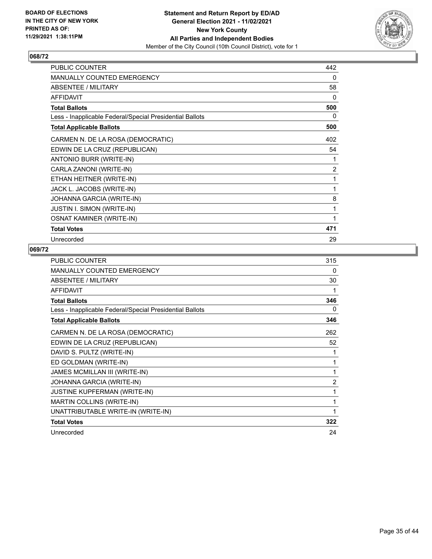

| PUBLIC COUNTER                                           | 442            |
|----------------------------------------------------------|----------------|
| <b>MANUALLY COUNTED EMERGENCY</b>                        | 0              |
| ABSENTEE / MILITARY                                      | 58             |
| <b>AFFIDAVIT</b>                                         | 0              |
| <b>Total Ballots</b>                                     | 500            |
| Less - Inapplicable Federal/Special Presidential Ballots | 0              |
| <b>Total Applicable Ballots</b>                          | 500            |
| CARMEN N. DE LA ROSA (DEMOCRATIC)                        | 402            |
| EDWIN DE LA CRUZ (REPUBLICAN)                            | 54             |
| ANTONIO BURR (WRITE-IN)                                  | 1              |
| CARLA ZANONI (WRITE-IN)                                  | $\overline{2}$ |
| ETHAN HEITNER (WRITE-IN)                                 | 1              |
| JACK L. JACOBS (WRITE-IN)                                | 1              |
| JOHANNA GARCIA (WRITE-IN)                                | 8              |
| <b>JUSTIN I. SIMON (WRITE-IN)</b>                        | 1              |
| <b>OSNAT KAMINER (WRITE-IN)</b>                          | 1              |
| <b>Total Votes</b>                                       | 471            |
| Unrecorded                                               | 29             |

| PUBLIC COUNTER                                           | 315            |
|----------------------------------------------------------|----------------|
| <b>MANUALLY COUNTED EMERGENCY</b>                        | $\Omega$       |
| ABSENTEE / MILITARY                                      | 30             |
| <b>AFFIDAVIT</b>                                         | 1              |
| <b>Total Ballots</b>                                     | 346            |
| Less - Inapplicable Federal/Special Presidential Ballots | 0              |
| <b>Total Applicable Ballots</b>                          | 346            |
| CARMEN N. DE LA ROSA (DEMOCRATIC)                        | 262            |
| EDWIN DE LA CRUZ (REPUBLICAN)                            | 52             |
| DAVID S. PULTZ (WRITE-IN)                                | 1              |
| ED GOLDMAN (WRITE-IN)                                    | 1              |
| JAMES MCMILLAN III (WRITE-IN)                            | 1              |
| JOHANNA GARCIA (WRITE-IN)                                | $\overline{2}$ |
| JUSTINE KUPFERMAN (WRITE-IN)                             | 1              |
| MARTIN COLLINS (WRITE-IN)                                | 1              |
| UNATTRIBUTABLE WRITE-IN (WRITE-IN)                       | 1              |
| <b>Total Votes</b>                                       | 322            |
| Unrecorded                                               | 24             |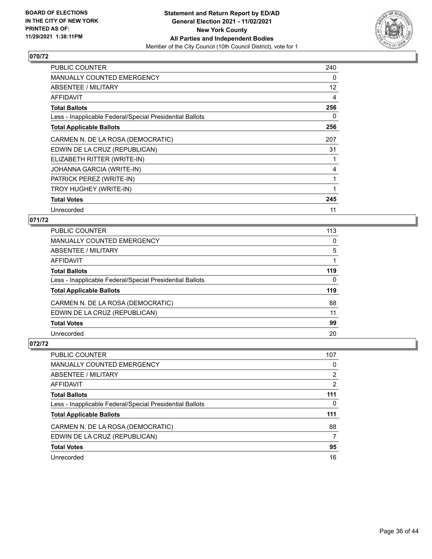

| PUBLIC COUNTER                                           | 240 |
|----------------------------------------------------------|-----|
| MANUALLY COUNTED EMERGENCY                               | 0   |
| ABSENTEE / MILITARY                                      | 12  |
| <b>AFFIDAVIT</b>                                         | 4   |
| <b>Total Ballots</b>                                     | 256 |
| Less - Inapplicable Federal/Special Presidential Ballots | 0   |
| <b>Total Applicable Ballots</b>                          | 256 |
| CARMEN N. DE LA ROSA (DEMOCRATIC)                        | 207 |
| EDWIN DE LA CRUZ (REPUBLICAN)                            | 31  |
| ELIZABETH RITTER (WRITE-IN)                              |     |
| JOHANNA GARCIA (WRITE-IN)                                | 4   |
| PATRICK PEREZ (WRITE-IN)                                 | 1   |
| TROY HUGHEY (WRITE-IN)                                   |     |
| <b>Total Votes</b>                                       | 245 |
| Unrecorded                                               | 11  |

## **071/72**

| PUBLIC COUNTER                                           | 113          |
|----------------------------------------------------------|--------------|
| MANUALLY COUNTED EMERGENCY                               | 0            |
| ABSENTEE / MILITARY                                      | 5            |
| AFFIDAVIT                                                |              |
| Total Ballots                                            | 119          |
| Less - Inapplicable Federal/Special Presidential Ballots | $\mathbf{0}$ |
| <b>Total Applicable Ballots</b>                          | 119          |
| CARMEN N. DE LA ROSA (DEMOCRATIC)                        | 88           |
| EDWIN DE LA CRUZ (REPUBLICAN)                            | 11           |
| <b>Total Votes</b>                                       | 99           |
| Unrecorded                                               | 20           |
|                                                          |              |

| <b>PUBLIC COUNTER</b>                                    | 107           |
|----------------------------------------------------------|---------------|
| MANUALLY COUNTED EMERGENCY                               | 0             |
| ABSENTEE / MILITARY                                      | $\mathcal{P}$ |
| AFFIDAVIT                                                | 2             |
| <b>Total Ballots</b>                                     | 111           |
| Less - Inapplicable Federal/Special Presidential Ballots | 0             |
| <b>Total Applicable Ballots</b>                          | 111           |
| CARMEN N. DE LA ROSA (DEMOCRATIC)                        | 88            |
| EDWIN DE LA CRUZ (REPUBLICAN)                            | 7             |
| <b>Total Votes</b>                                       | 95            |
| Unrecorded                                               | 16            |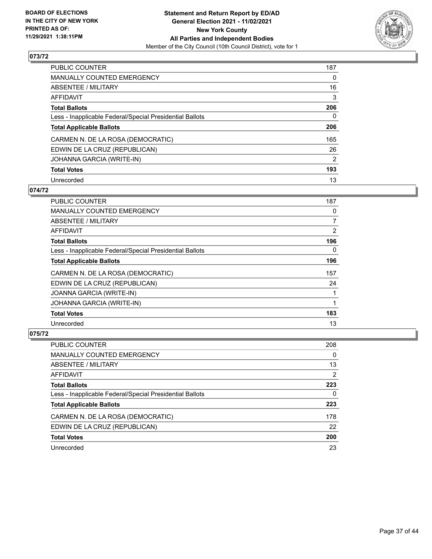

| <b>PUBLIC COUNTER</b>                                    | 187      |
|----------------------------------------------------------|----------|
| <b>MANUALLY COUNTED EMERGENCY</b>                        | 0        |
| ABSENTEE / MILITARY                                      | 16       |
| AFFIDAVIT                                                | 3        |
| <b>Total Ballots</b>                                     | 206      |
| Less - Inapplicable Federal/Special Presidential Ballots | $\Omega$ |
| <b>Total Applicable Ballots</b>                          | 206      |
| CARMEN N. DE LA ROSA (DEMOCRATIC)                        | 165      |
| EDWIN DE LA CRUZ (REPUBLICAN)                            | 26       |
| JOHANNA GARCIA (WRITE-IN)                                | 2        |
| <b>Total Votes</b>                                       | 193      |
| Unrecorded                                               | 13       |

### **074/72**

| <b>PUBLIC COUNTER</b>                                    | 187      |
|----------------------------------------------------------|----------|
| <b>MANUALLY COUNTED EMERGENCY</b>                        | 0        |
| ABSENTEE / MILITARY                                      | 7        |
| <b>AFFIDAVIT</b>                                         | 2        |
| <b>Total Ballots</b>                                     | 196      |
| Less - Inapplicable Federal/Special Presidential Ballots | $\Omega$ |
| <b>Total Applicable Ballots</b>                          | 196      |
| CARMEN N. DE LA ROSA (DEMOCRATIC)                        | 157      |
| EDWIN DE LA CRUZ (REPUBLICAN)                            | 24       |
| JOANNA GARCIA (WRITE-IN)                                 |          |
| <b>JOHANNA GARCIA (WRITE-IN)</b>                         |          |
| <b>Total Votes</b>                                       | 183      |
| Unrecorded                                               | 13       |

| PUBLIC COUNTER                                           | 208 |
|----------------------------------------------------------|-----|
| MANUALLY COUNTED EMERGENCY                               | 0   |
| ABSENTEE / MILITARY                                      | 13  |
| AFFIDAVIT                                                | 2   |
| <b>Total Ballots</b>                                     | 223 |
| Less - Inapplicable Federal/Special Presidential Ballots | 0   |
| <b>Total Applicable Ballots</b>                          | 223 |
| CARMEN N. DE LA ROSA (DEMOCRATIC)                        | 178 |
| EDWIN DE LA CRUZ (REPUBLICAN)                            | 22  |
| <b>Total Votes</b>                                       | 200 |
| Unrecorded                                               | 23  |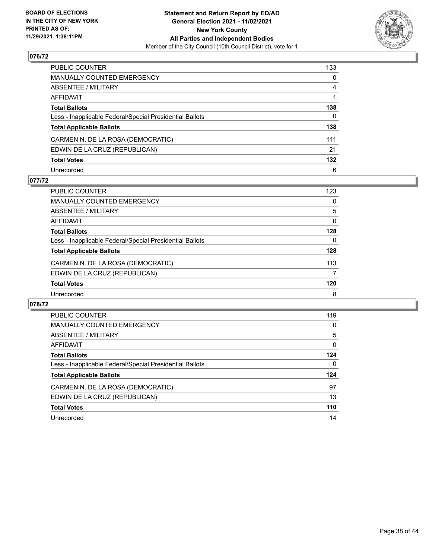

| PUBLIC COUNTER                                           | 133          |
|----------------------------------------------------------|--------------|
| MANUALLY COUNTED EMERGENCY                               | $\mathbf{0}$ |
| ABSENTEE / MILITARY                                      | 4            |
| AFFIDAVIT                                                |              |
| Total Ballots                                            | 138          |
| Less - Inapplicable Federal/Special Presidential Ballots | $\mathbf{0}$ |
| <b>Total Applicable Ballots</b>                          | 138          |
| CARMEN N. DE LA ROSA (DEMOCRATIC)                        | 111          |
| EDWIN DE LA CRUZ (REPUBLICAN)                            | 21           |
| <b>Total Votes</b>                                       | 132          |
| Unrecorded                                               | 6            |

#### **077/72**

| <b>PUBLIC COUNTER</b>                                    | 123      |
|----------------------------------------------------------|----------|
| MANUALLY COUNTED EMERGENCY                               | 0        |
| ABSENTEE / MILITARY                                      | 5        |
| AFFIDAVIT                                                | $\Omega$ |
| <b>Total Ballots</b>                                     | 128      |
| Less - Inapplicable Federal/Special Presidential Ballots | $\Omega$ |
| <b>Total Applicable Ballots</b>                          | 128      |
| CARMEN N. DE LA ROSA (DEMOCRATIC)                        | 113      |
| EDWIN DE LA CRUZ (REPUBLICAN)                            | 7        |
| <b>Total Votes</b>                                       | 120      |
| Unrecorded                                               | 8        |

| PUBLIC COUNTER                                           | 119      |
|----------------------------------------------------------|----------|
| <b>MANUALLY COUNTED EMERGENCY</b>                        | $\Omega$ |
| <b>ABSENTEE / MILITARY</b>                               | 5        |
| AFFIDAVIT                                                | 0        |
| <b>Total Ballots</b>                                     | 124      |
| Less - Inapplicable Federal/Special Presidential Ballots | 0        |
| <b>Total Applicable Ballots</b>                          | 124      |
| CARMEN N. DE LA ROSA (DEMOCRATIC)                        | 97       |
| EDWIN DE LA CRUZ (REPUBLICAN)                            | 13       |
| <b>Total Votes</b>                                       | 110      |
| Unrecorded                                               |          |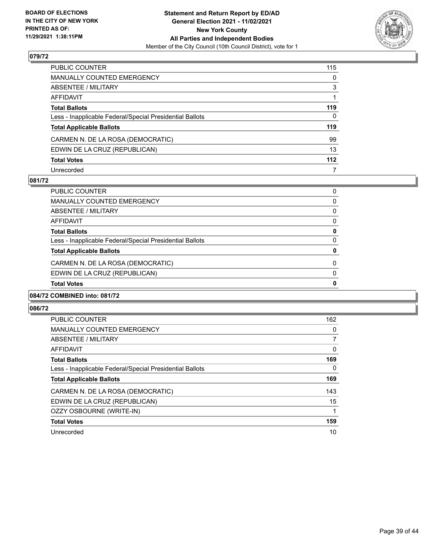

| PUBLIC COUNTER                                           | 115          |
|----------------------------------------------------------|--------------|
| MANUALLY COUNTED EMERGENCY                               | $\mathbf{0}$ |
| ABSENTEE / MILITARY                                      | 3            |
| AFFIDAVIT                                                |              |
| Total Ballots                                            | 119          |
| Less - Inapplicable Federal/Special Presidential Ballots | $\Omega$     |
| <b>Total Applicable Ballots</b>                          | 119          |
| CARMEN N. DE LA ROSA (DEMOCRATIC)                        | 99           |
| EDWIN DE LA CRUZ (REPUBLICAN)                            | 13           |
| <b>Total Votes</b>                                       | 112          |
| Unrecorded                                               | 7            |

#### **081/72**

| 0        |
|----------|
| $\Omega$ |
| $\Omega$ |
| 0        |
| $\Omega$ |
| 0        |
| $\Omega$ |
| 0        |
| 0        |
| 0        |
|          |

## **084/72 COMBINED into: 081/72**

| <b>PUBLIC COUNTER</b>                                    | 162      |
|----------------------------------------------------------|----------|
| <b>MANUALLY COUNTED EMERGENCY</b>                        | 0        |
| ABSENTEE / MILITARY                                      | 7        |
| AFFIDAVIT                                                | $\Omega$ |
| <b>Total Ballots</b>                                     | 169      |
| Less - Inapplicable Federal/Special Presidential Ballots | 0        |
| <b>Total Applicable Ballots</b>                          | 169      |
| CARMEN N. DE LA ROSA (DEMOCRATIC)                        | 143      |
| EDWIN DE LA CRUZ (REPUBLICAN)                            | 15       |
| OZZY OSBOURNE (WRITE-IN)                                 |          |
| <b>Total Votes</b>                                       | 159      |
| Unrecorded                                               | 10       |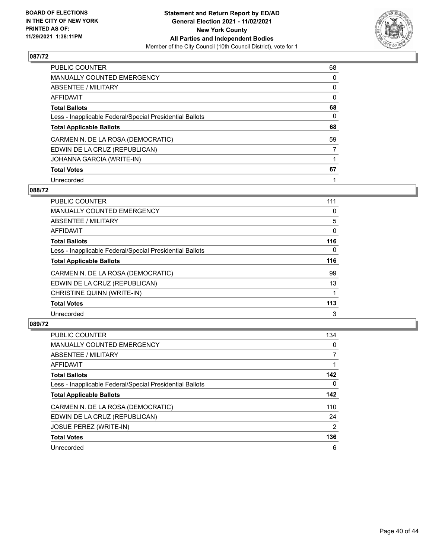

| <b>PUBLIC COUNTER</b>                                    | 68       |
|----------------------------------------------------------|----------|
| <b>MANUALLY COUNTED EMERGENCY</b>                        | 0        |
| ABSENTEE / MILITARY                                      | 0        |
| <b>AFFIDAVIT</b>                                         | $\Omega$ |
| <b>Total Ballots</b>                                     | 68       |
| Less - Inapplicable Federal/Special Presidential Ballots | $\Omega$ |
| <b>Total Applicable Ballots</b>                          | 68       |
| CARMEN N. DE LA ROSA (DEMOCRATIC)                        | 59       |
| EDWIN DE LA CRUZ (REPUBLICAN)                            | 7        |
| JOHANNA GARCIA (WRITE-IN)                                |          |
| <b>Total Votes</b>                                       | 67       |
| Unrecorded                                               |          |

#### **088/72**

| <b>PUBLIC COUNTER</b>                                    | 111      |
|----------------------------------------------------------|----------|
| MANUALLY COUNTED EMERGENCY                               | 0        |
| ABSENTEE / MILITARY                                      | 5        |
| <b>AFFIDAVIT</b>                                         | $\Omega$ |
| <b>Total Ballots</b>                                     | 116      |
| Less - Inapplicable Federal/Special Presidential Ballots | $\Omega$ |
| <b>Total Applicable Ballots</b>                          | 116      |
| CARMEN N. DE LA ROSA (DEMOCRATIC)                        | 99       |
| EDWIN DE LA CRUZ (REPUBLICAN)                            | 13       |
| CHRISTINE QUINN (WRITE-IN)                               |          |
| <b>Total Votes</b>                                       | 113      |
| Unrecorded                                               | 3        |

| <b>PUBLIC COUNTER</b>                                    | 134            |
|----------------------------------------------------------|----------------|
| <b>MANUALLY COUNTED EMERGENCY</b>                        | $\Omega$       |
| ABSENTEE / MILITARY                                      |                |
| <b>AFFIDAVIT</b>                                         |                |
| <b>Total Ballots</b>                                     | 142            |
| Less - Inapplicable Federal/Special Presidential Ballots | $\Omega$       |
| <b>Total Applicable Ballots</b>                          | 142            |
| CARMEN N. DE LA ROSA (DEMOCRATIC)                        | 110            |
| EDWIN DE LA CRUZ (REPUBLICAN)                            | 24             |
| JOSUE PEREZ (WRITE-IN)                                   | $\overline{2}$ |
| <b>Total Votes</b>                                       | 136            |
| Unrecorded                                               | 6              |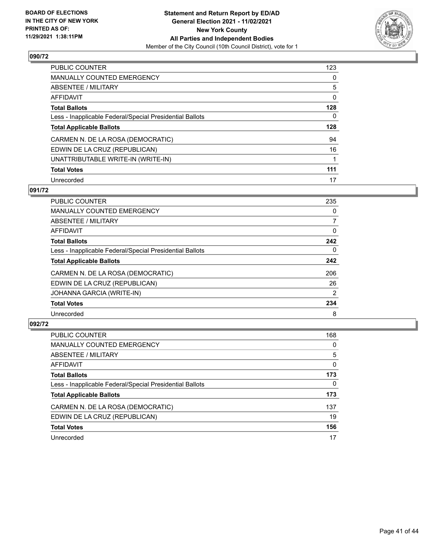

| PUBLIC COUNTER                                           | 123      |
|----------------------------------------------------------|----------|
| MANUALLY COUNTED EMERGENCY                               | 0        |
| ABSENTEE / MILITARY                                      | 5        |
| AFFIDAVIT                                                | $\Omega$ |
| <b>Total Ballots</b>                                     | 128      |
| Less - Inapplicable Federal/Special Presidential Ballots | 0        |
| <b>Total Applicable Ballots</b>                          | 128      |
| CARMEN N. DE LA ROSA (DEMOCRATIC)                        | 94       |
| EDWIN DE LA CRUZ (REPUBLICAN)                            | 16       |
| UNATTRIBUTABLE WRITE-IN (WRITE-IN)                       |          |
| <b>Total Votes</b>                                       | 111      |
| Unrecorded                                               | 17       |

#### **091/72**

| <b>PUBLIC COUNTER</b>                                    | 235            |
|----------------------------------------------------------|----------------|
| <b>MANUALLY COUNTED EMERGENCY</b>                        | 0              |
| ABSENTEE / MILITARY                                      | 7              |
| <b>AFFIDAVIT</b>                                         | $\Omega$       |
| <b>Total Ballots</b>                                     | 242            |
| Less - Inapplicable Federal/Special Presidential Ballots | $\Omega$       |
| <b>Total Applicable Ballots</b>                          | 242            |
| CARMEN N. DE LA ROSA (DEMOCRATIC)                        | 206            |
| EDWIN DE LA CRUZ (REPUBLICAN)                            | 26             |
| JOHANNA GARCIA (WRITE-IN)                                | $\overline{2}$ |
| <b>Total Votes</b>                                       | 234            |
| Unrecorded                                               | 8              |

| <b>PUBLIC COUNTER</b>                                    | 168 |
|----------------------------------------------------------|-----|
| <b>MANUALLY COUNTED EMERGENCY</b>                        | 0   |
| ABSENTEE / MILITARY                                      | 5   |
| AFFIDAVIT                                                | 0   |
| <b>Total Ballots</b>                                     | 173 |
| Less - Inapplicable Federal/Special Presidential Ballots | 0   |
| <b>Total Applicable Ballots</b>                          | 173 |
| CARMEN N. DE LA ROSA (DEMOCRATIC)                        | 137 |
| EDWIN DE LA CRUZ (REPUBLICAN)                            | 19  |
| <b>Total Votes</b>                                       | 156 |
| Unrecorded                                               | 17  |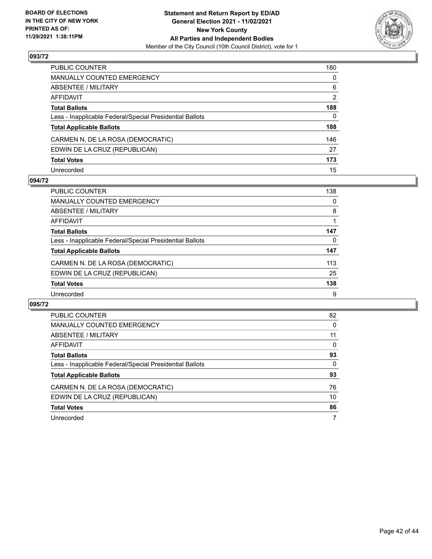

| PUBLIC COUNTER                                           | 180            |
|----------------------------------------------------------|----------------|
| MANUALLY COUNTED EMERGENCY                               | $\mathbf{0}$   |
| ABSENTEE / MILITARY                                      | 6              |
| AFFIDAVIT                                                | $\overline{2}$ |
| Total Ballots                                            | 188            |
| Less - Inapplicable Federal/Special Presidential Ballots | $\Omega$       |
| <b>Total Applicable Ballots</b>                          | 188            |
| CARMEN N. DE LA ROSA (DEMOCRATIC)                        | 146            |
| EDWIN DE LA CRUZ (REPUBLICAN)                            | 27             |
| <b>Total Votes</b>                                       | 173            |
| Unrecorded                                               | 15             |

#### **094/72**

| PUBLIC COUNTER                                           | 138      |
|----------------------------------------------------------|----------|
| MANUALLY COUNTED EMERGENCY                               | $\Omega$ |
| ABSENTEE / MILITARY                                      | 8        |
| AFFIDAVIT                                                |          |
| <b>Total Ballots</b>                                     | 147      |
| Less - Inapplicable Federal/Special Presidential Ballots | 0        |
| <b>Total Applicable Ballots</b>                          | 147      |
| CARMEN N. DE LA ROSA (DEMOCRATIC)                        | 113      |
| EDWIN DE LA CRUZ (REPUBLICAN)                            | 25       |
| <b>Total Votes</b>                                       | 138      |
| Unrecorded                                               | 9        |

| PUBLIC COUNTER                                           | 82       |
|----------------------------------------------------------|----------|
| <b>MANUALLY COUNTED EMERGENCY</b>                        | $\Omega$ |
| ABSENTEE / MILITARY                                      | 11       |
| AFFIDAVIT                                                | $\Omega$ |
| <b>Total Ballots</b>                                     | 93       |
| Less - Inapplicable Federal/Special Presidential Ballots | 0        |
| <b>Total Applicable Ballots</b>                          | 93       |
| CARMEN N. DE LA ROSA (DEMOCRATIC)                        | 76       |
| EDWIN DE LA CRUZ (REPUBLICAN)                            | 10       |
| <b>Total Votes</b>                                       | 86       |
| Unrecorded                                               | 7        |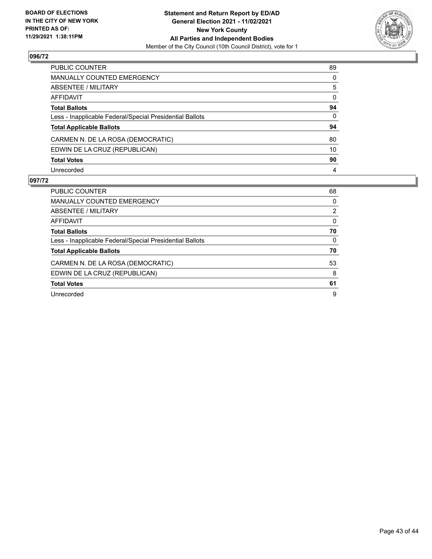

| PUBLIC COUNTER                                           | 89           |
|----------------------------------------------------------|--------------|
| <b>MANUALLY COUNTED EMERGENCY</b>                        | $\Omega$     |
| ABSENTEE / MILITARY                                      | 5            |
| <b>AFFIDAVIT</b>                                         | $\Omega$     |
| <b>Total Ballots</b>                                     | 94           |
| Less - Inapplicable Federal/Special Presidential Ballots | $\mathbf{0}$ |
| <b>Total Applicable Ballots</b>                          | 94           |
| CARMEN N. DE LA ROSA (DEMOCRATIC)                        | 80           |
| EDWIN DE LA CRUZ (REPUBLICAN)                            | 10           |
| <b>Total Votes</b>                                       | 90           |
| Unrecorded                                               | 4            |

| <b>PUBLIC COUNTER</b>                                    | 68       |
|----------------------------------------------------------|----------|
| <b>MANUALLY COUNTED EMERGENCY</b>                        | 0        |
| ABSENTEE / MILITARY                                      | 2        |
| AFFIDAVIT                                                | $\Omega$ |
| <b>Total Ballots</b>                                     | 70       |
| Less - Inapplicable Federal/Special Presidential Ballots | $\Omega$ |
| <b>Total Applicable Ballots</b>                          | 70       |
| CARMEN N. DE LA ROSA (DEMOCRATIC)                        | 53       |
| EDWIN DE LA CRUZ (REPUBLICAN)                            | 8        |
| <b>Total Votes</b>                                       | 61       |
| Unrecorded                                               | 9        |